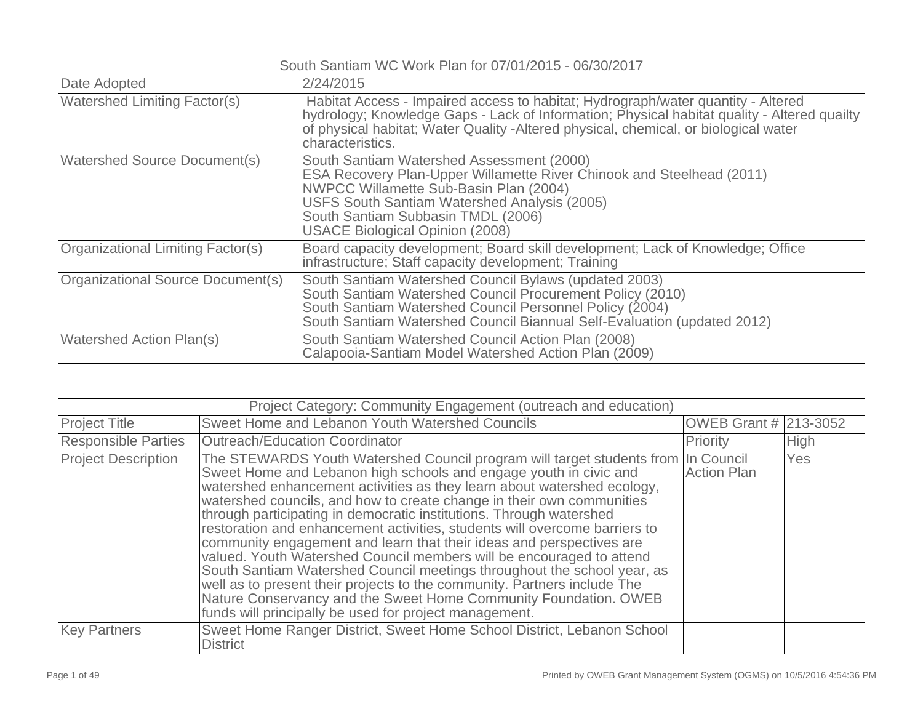| South Santiam WC Work Plan for 07/01/2015 - 06/30/2017 |                                                                                                                                                                                                                                                                                                     |  |  |
|--------------------------------------------------------|-----------------------------------------------------------------------------------------------------------------------------------------------------------------------------------------------------------------------------------------------------------------------------------------------------|--|--|
| Date Adopted                                           | 2/24/2015                                                                                                                                                                                                                                                                                           |  |  |
| <b>Watershed Limiting Factor(s)</b>                    | Habitat Access - Impaired access to habitat; Hydrograph/water quantity - Altered<br>hydrology; Knowledge Gaps - Lack of Information; Physical habitat quality - Altered quailty<br>of physical habitat; Water Quality - Altered physical, chemical, or biological water<br>characteristics.         |  |  |
| <b>Watershed Source Document(s)</b>                    | South Santiam Watershed Assessment (2000)<br>ESA Recovery Plan-Upper Willamette River Chinook and Steelhead (2011)<br><b>NWPCC Willamette Sub-Basin Plan (2004)</b><br>USFS South Santiam Watershed Analysis (2005)<br>South Santiam Subbasin TMDL (2006)<br><b>USACE Biological Opinion (2008)</b> |  |  |
| Organizational Limiting Factor(s)                      | Board capacity development; Board skill development; Lack of Knowledge; Office<br>infrastructure; Staff capacity development; Training                                                                                                                                                              |  |  |
| Organizational Source Document(s)                      | South Santiam Watershed Council Bylaws (updated 2003)<br>South Santiam Watershed Council Procurement Policy (2010)<br>South Santiam Watershed Council Personnel Policy (2004)<br>South Santiam Watershed Council Biannual Self-Evaluation (updated 2012)                                            |  |  |
| <b>Watershed Action Plan(s)</b>                        | South Santiam Watershed Council Action Plan (2008)<br>Calapooia-Santiam Model Watershed Action Plan (2009)                                                                                                                                                                                          |  |  |

|                            | Project Category: Community Engagement (outreach and education)                                                                                                                                                                                                                                                                                                                                                                                                                                                                                                                                                                                                                                                                                                                                                                                                                                      |                       |             |
|----------------------------|------------------------------------------------------------------------------------------------------------------------------------------------------------------------------------------------------------------------------------------------------------------------------------------------------------------------------------------------------------------------------------------------------------------------------------------------------------------------------------------------------------------------------------------------------------------------------------------------------------------------------------------------------------------------------------------------------------------------------------------------------------------------------------------------------------------------------------------------------------------------------------------------------|-----------------------|-------------|
| <b>Project Title</b>       | Sweet Home and Lebanon Youth Watershed Councils                                                                                                                                                                                                                                                                                                                                                                                                                                                                                                                                                                                                                                                                                                                                                                                                                                                      | OWEB Grant # 213-3052 |             |
| <b>Responsible Parties</b> | Outreach/Education Coordinator                                                                                                                                                                                                                                                                                                                                                                                                                                                                                                                                                                                                                                                                                                                                                                                                                                                                       | Priority              | <b>High</b> |
| <b>Project Description</b> | The STEWARDS Youth Watershed Council program will target students from In Council<br>Sweet Home and Lebanon high schools and engage youth in civic and<br>watershed enhancement activities as they learn about watershed ecology,<br>watershed councils, and how to create change in their own communities<br>through participating in democratic institutions. Through watershed<br>restoration and enhancement activities, students will overcome barriers to<br>community engagement and learn that their ideas and perspectives are<br>valued. Youth Watershed Council members will be encouraged to attend<br>South Santiam Watershed Council meetings throughout the school year, as<br>well as to present their projects to the community. Partners include The<br>Nature Conservancy and the Sweet Home Community Foundation. OWEB<br>funds will principally be used for project management. | <b>Action Plan</b>    | Yes         |
| <b>Key Partners</b>        | Sweet Home Ranger District, Sweet Home School District, Lebanon School<br><b>District</b>                                                                                                                                                                                                                                                                                                                                                                                                                                                                                                                                                                                                                                                                                                                                                                                                            |                       |             |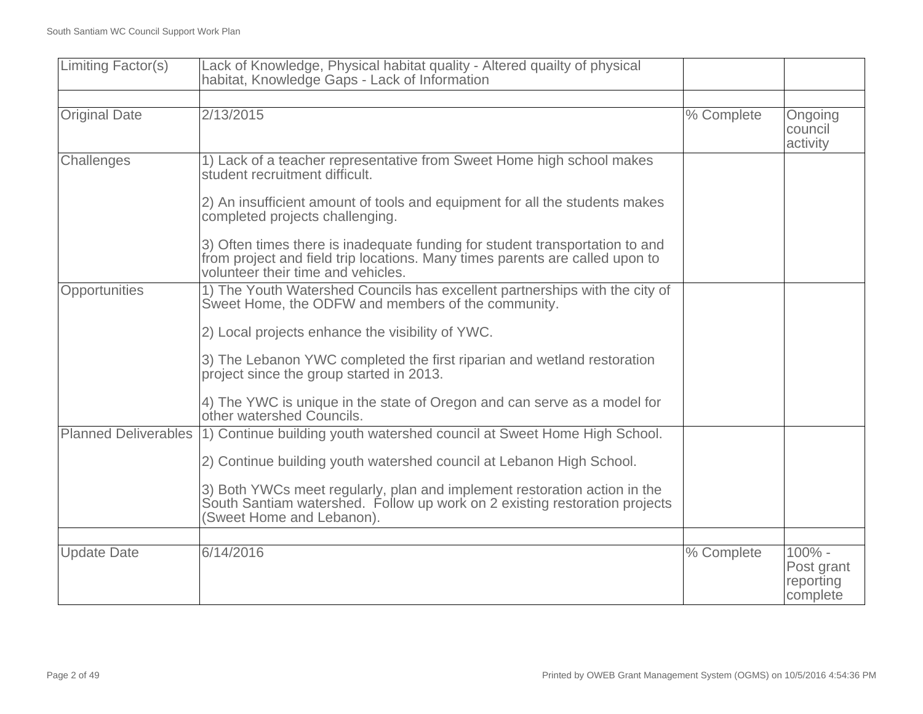| Limiting Factor(s)          | Lack of Knowledge, Physical habitat quality - Altered quailty of physical<br>habitat, Knowledge Gaps - Lack of Information                                                                         |            |                                               |
|-----------------------------|----------------------------------------------------------------------------------------------------------------------------------------------------------------------------------------------------|------------|-----------------------------------------------|
|                             |                                                                                                                                                                                                    |            |                                               |
| <b>Original Date</b>        | 2/13/2015                                                                                                                                                                                          | % Complete | Ongoing<br>council<br>activity                |
| Challenges                  | 1) Lack of a teacher representative from Sweet Home high school makes<br>student recruitment difficult.                                                                                            |            |                                               |
|                             | 2) An insufficient amount of tools and equipment for all the students makes<br>completed projects challenging.                                                                                     |            |                                               |
|                             | 3) Often times there is inadequate funding for student transportation to and<br>from project and field trip locations. Many times parents are called upon to<br>volunteer their time and vehicles. |            |                                               |
| Opportunities               | 1) The Youth Watershed Councils has excellent partnerships with the city of<br>Sweet Home, the ODFW and members of the community.                                                                  |            |                                               |
|                             | 2) Local projects enhance the visibility of YWC.                                                                                                                                                   |            |                                               |
|                             | 3) The Lebanon YWC completed the first riparian and wetland restoration<br>project since the group started in 2013.                                                                                |            |                                               |
|                             | 4) The YWC is unique in the state of Oregon and can serve as a model for<br>other watershed Councils.                                                                                              |            |                                               |
| <b>Planned Deliverables</b> | 1) Continue building youth watershed council at Sweet Home High School.                                                                                                                            |            |                                               |
|                             | 2) Continue building youth watershed council at Lebanon High School.                                                                                                                               |            |                                               |
|                             | 3) Both YWCs meet regularly, plan and implement restoration action in the<br>South Santiam watershed. Follow up work on 2 existing restoration projects<br>(Sweet Home and Lebanon).               |            |                                               |
|                             |                                                                                                                                                                                                    |            |                                               |
| <b>Update Date</b>          | 6/14/2016                                                                                                                                                                                          | % Complete | 100% -<br>Post grant<br>reporting<br>complete |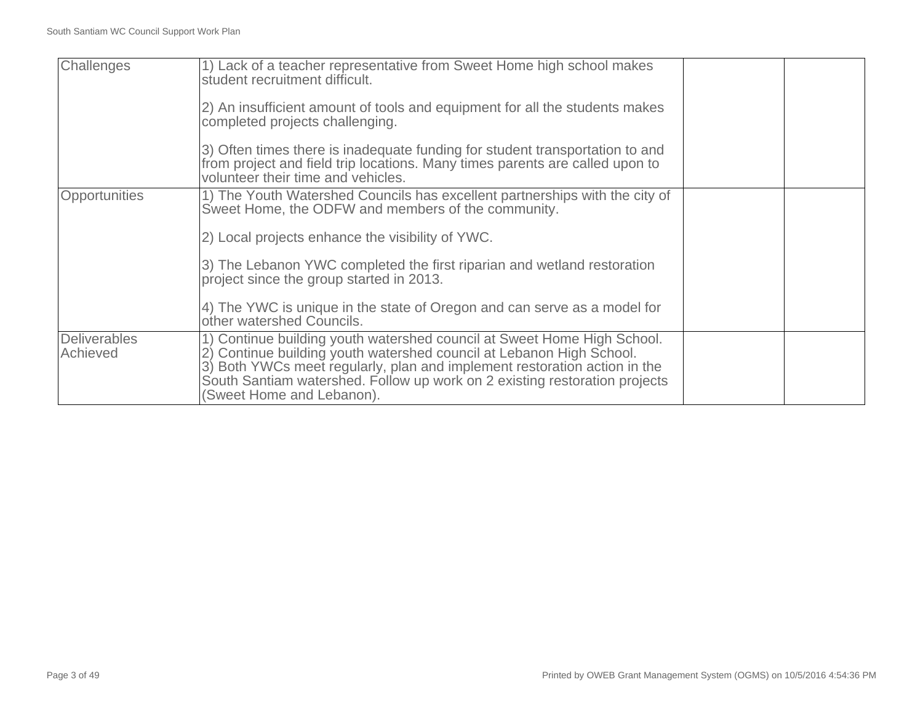| Challenges               | 1) Lack of a teacher representative from Sweet Home high school makes<br>student recruitment difficult.<br>(2) An insufficient amount of tools and equipment for all the students makes<br>completed projects challenging.<br>3) Often times there is inadequate funding for student transportation to and<br>from project and field trip locations. Many times parents are called upon to<br>volunteer their time and vehicles. |  |
|--------------------------|----------------------------------------------------------------------------------------------------------------------------------------------------------------------------------------------------------------------------------------------------------------------------------------------------------------------------------------------------------------------------------------------------------------------------------|--|
| <b>Opportunities</b>     | 1) The Youth Watershed Councils has excellent partnerships with the city of<br>Sweet Home, the ODFW and members of the community.<br>2) Local projects enhance the visibility of YWC.<br>3) The Lebanon YWC completed the first riparian and wetland restoration<br>project since the group started in 2013.<br>4) The YWC is unique in the state of Oregon and can serve as a model for<br>other watershed Councils.            |  |
| Deliverables<br>Achieved | 1) Continue building youth watershed council at Sweet Home High School.<br>2) Continue building youth watershed council at Lebanon High School.<br>3) Both YWCs meet regularly, plan and implement restoration action in the<br>South Santiam watershed. Follow up work on 2 existing restoration projects<br>(Sweet Home and Lebanon).                                                                                          |  |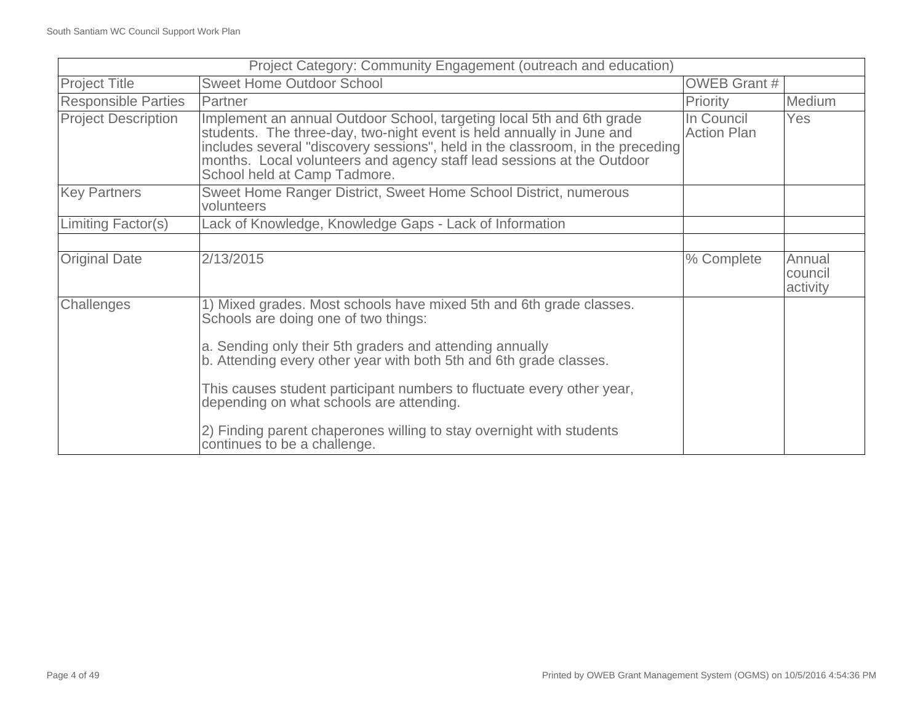|                            | Project Category: Community Engagement (outreach and education)                                                                                                                                                                                                                                                                            |                                  |                               |
|----------------------------|--------------------------------------------------------------------------------------------------------------------------------------------------------------------------------------------------------------------------------------------------------------------------------------------------------------------------------------------|----------------------------------|-------------------------------|
| <b>Project Title</b>       | <b>Sweet Home Outdoor School</b>                                                                                                                                                                                                                                                                                                           | <b>OWEB Grant #</b>              |                               |
| <b>Responsible Parties</b> | Partner                                                                                                                                                                                                                                                                                                                                    | Priority                         | Medium                        |
| <b>Project Description</b> | Implement an annual Outdoor School, targeting local 5th and 6th grade<br>students. The three-day, two-night event is held annually in June and<br>includes several "discovery sessions", held in the classroom, in the preceding<br>months. Local volunteers and agency staff lead sessions at the Outdoor<br>School held at Camp Tadmore. | In Council<br><b>Action Plan</b> | Yes                           |
| <b>Key Partners</b>        | Sweet Home Ranger District, Sweet Home School District, numerous<br>volunteers                                                                                                                                                                                                                                                             |                                  |                               |
| Limiting Factor(s)         | Lack of Knowledge, Knowledge Gaps - Lack of Information                                                                                                                                                                                                                                                                                    |                                  |                               |
|                            |                                                                                                                                                                                                                                                                                                                                            |                                  |                               |
| <b>Original Date</b>       | 2/13/2015                                                                                                                                                                                                                                                                                                                                  | % Complete                       | Annual<br>council<br>activity |
| Challenges                 | 1) Mixed grades. Most schools have mixed 5th and 6th grade classes.<br>Schools are doing one of two things:                                                                                                                                                                                                                                |                                  |                               |
|                            | a. Sending only their 5th graders and attending annually<br>b. Attending every other year with both 5th and 6th grade classes.                                                                                                                                                                                                             |                                  |                               |
|                            | This causes student participant numbers to fluctuate every other year,<br>depending on what schools are attending.                                                                                                                                                                                                                         |                                  |                               |
|                            | 2) Finding parent chaperones willing to stay overnight with students<br>continues to be a challenge.                                                                                                                                                                                                                                       |                                  |                               |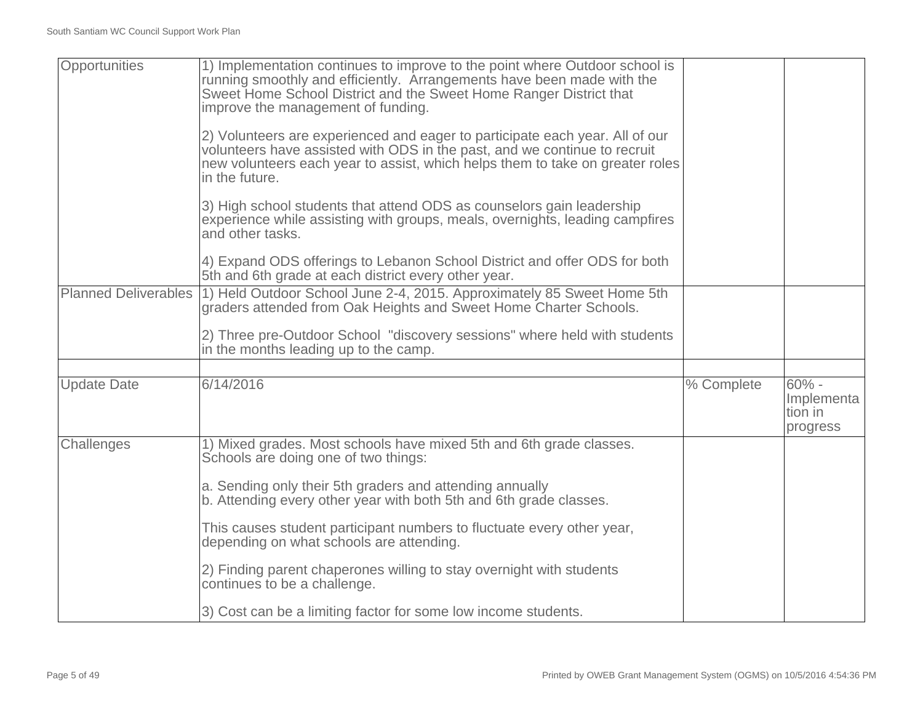| Opportunities               | 1) Implementation continues to improve to the point where Outdoor school is<br>running smoothly and efficiently. Arrangements have been made with the<br>Sweet Home School District and the Sweet Home Ranger District that<br>improve the management of funding. |            |                                              |
|-----------------------------|-------------------------------------------------------------------------------------------------------------------------------------------------------------------------------------------------------------------------------------------------------------------|------------|----------------------------------------------|
|                             | 2) Volunteers are experienced and eager to participate each year. All of our<br>volunteers have assisted with ODS in the past, and we continue to recruit<br>new volunteers each year to assist, which helps them to take on greater roles<br>in the future.      |            |                                              |
|                             | 3) High school students that attend ODS as counselors gain leadership<br>experience while assisting with groups, meals, overnights, leading campfires<br>and other tasks.                                                                                         |            |                                              |
|                             | 4) Expand ODS offerings to Lebanon School District and offer ODS for both<br>5th and 6th grade at each district every other year.                                                                                                                                 |            |                                              |
| <b>Planned Deliverables</b> | 1) Held Outdoor School June 2-4, 2015. Approximately 85 Sweet Home 5th<br>graders attended from Oak Heights and Sweet Home Charter Schools.                                                                                                                       |            |                                              |
|                             | 2) Three pre-Outdoor School "discovery sessions" where held with students<br>in the months leading up to the camp.                                                                                                                                                |            |                                              |
|                             |                                                                                                                                                                                                                                                                   |            |                                              |
| <b>Update Date</b>          | 6/14/2016                                                                                                                                                                                                                                                         | % Complete | $60% -$<br>Implementa<br>tion in<br>progress |
| Challenges                  | 1) Mixed grades. Most schools have mixed 5th and 6th grade classes.<br>Schools are doing one of two things:                                                                                                                                                       |            |                                              |
|                             | a. Sending only their 5th graders and attending annually<br>b. Attending every other year with both 5th and 6th grade classes.                                                                                                                                    |            |                                              |
|                             | This causes student participant numbers to fluctuate every other year,<br>depending on what schools are attending.                                                                                                                                                |            |                                              |
|                             | 2) Finding parent chaperones willing to stay overnight with students<br>continues to be a challenge.                                                                                                                                                              |            |                                              |
|                             | 3) Cost can be a limiting factor for some low income students.                                                                                                                                                                                                    |            |                                              |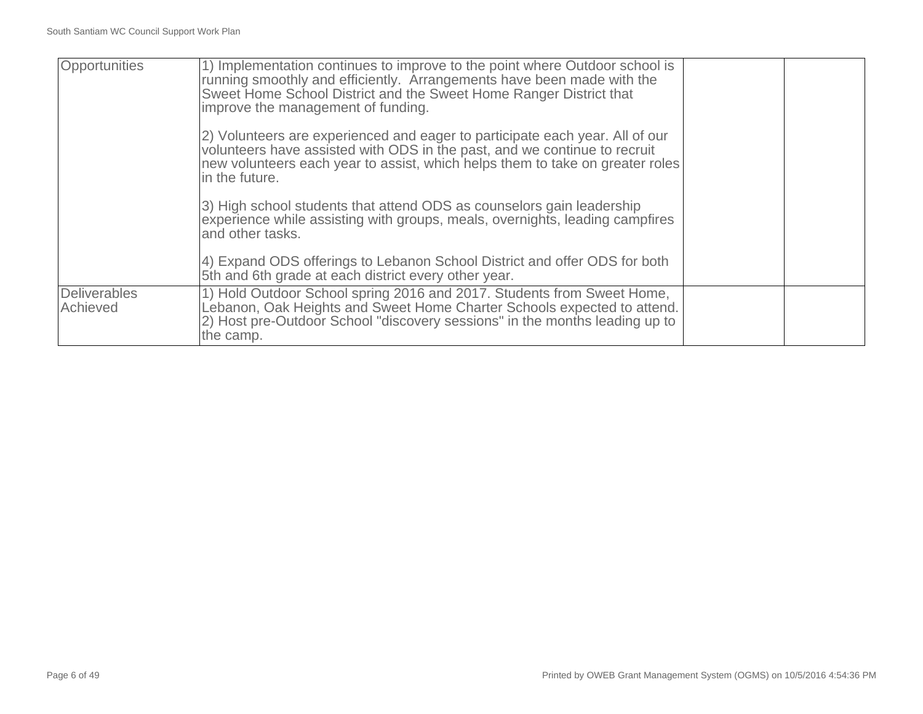| Opportunities            | 1) Implementation continues to improve to the point where Outdoor school is<br>running smoothly and efficiently. Arrangements have been made with the<br>Sweet Home School District and the Sweet Home Ranger District that<br>improve the management of funding. |  |
|--------------------------|-------------------------------------------------------------------------------------------------------------------------------------------------------------------------------------------------------------------------------------------------------------------|--|
|                          | 2) Volunteers are experienced and eager to participate each year. All of our<br>volunteers have assisted with ODS in the past, and we continue to recruit<br>new volunteers each year to assist, which helps them to take on greater roles<br>in the future.      |  |
|                          | 3) High school students that attend ODS as counselors gain leadership<br>experience while assisting with groups, meals, overnights, leading campfires<br>and other tasks.                                                                                         |  |
|                          | 4) Expand ODS offerings to Lebanon School District and offer ODS for both<br>5th and 6th grade at each district every other year.                                                                                                                                 |  |
| Deliverables<br>Achieved | 1) Hold Outdoor School spring 2016 and 2017. Students from Sweet Home,<br>Lebanon, Oak Heights and Sweet Home Charter Schools expected to attend.<br>2) Host pre-Outdoor School "discovery sessions" in the months leading up to<br>the camp.                     |  |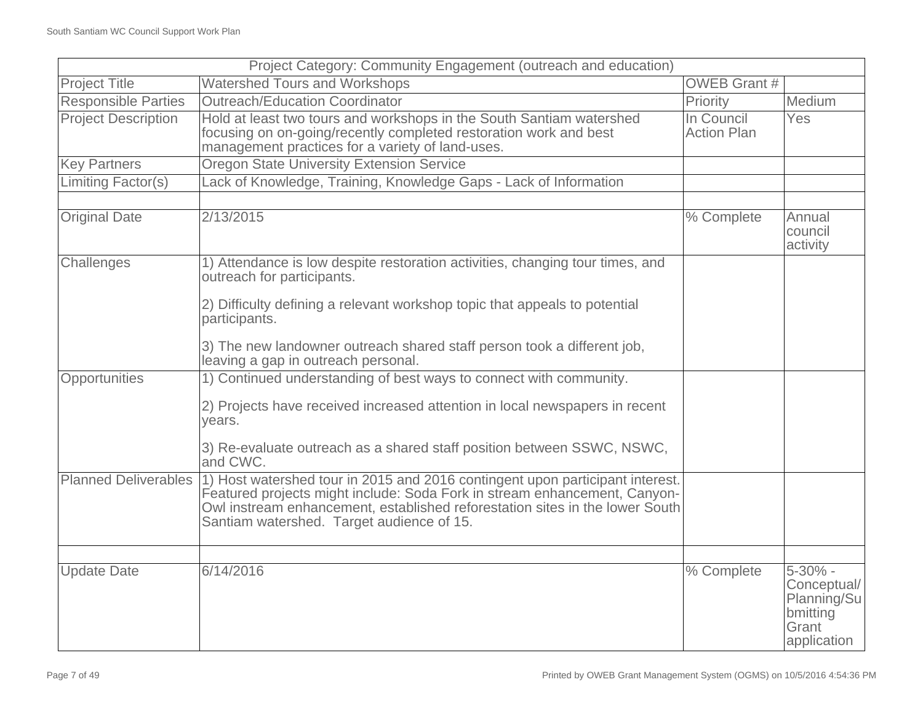|                             | Project Category: Community Engagement (outreach and education)                                                                                                                                                                                                                         |                                  |                                                                                |
|-----------------------------|-----------------------------------------------------------------------------------------------------------------------------------------------------------------------------------------------------------------------------------------------------------------------------------------|----------------------------------|--------------------------------------------------------------------------------|
| <b>Project Title</b>        | <b>Watershed Tours and Workshops</b>                                                                                                                                                                                                                                                    | <b>OWEB Grant #</b>              |                                                                                |
| <b>Responsible Parties</b>  | <b>Outreach/Education Coordinator</b>                                                                                                                                                                                                                                                   | Priority                         | Medium                                                                         |
| <b>Project Description</b>  | Hold at least two tours and workshops in the South Santiam watershed<br>focusing on on-going/recently completed restoration work and best<br>management practices for a variety of land-uses.                                                                                           | In Council<br><b>Action Plan</b> | Yes                                                                            |
| <b>Key Partners</b>         | <b>Oregon State University Extension Service</b>                                                                                                                                                                                                                                        |                                  |                                                                                |
| <b>Limiting Factor(s)</b>   | Lack of Knowledge, Training, Knowledge Gaps - Lack of Information                                                                                                                                                                                                                       |                                  |                                                                                |
|                             |                                                                                                                                                                                                                                                                                         |                                  |                                                                                |
| <b>Original Date</b>        | 2/13/2015                                                                                                                                                                                                                                                                               | % Complete                       | Annual<br>council<br>activity                                                  |
| Challenges                  | 1) Attendance is low despite restoration activities, changing tour times, and<br>outreach for participants.                                                                                                                                                                             |                                  |                                                                                |
|                             | 2) Difficulty defining a relevant workshop topic that appeals to potential<br>participants.                                                                                                                                                                                             |                                  |                                                                                |
|                             | 3) The new landowner outreach shared staff person took a different job,<br>leaving a gap in outreach personal.                                                                                                                                                                          |                                  |                                                                                |
| Opportunities               | 1) Continued understanding of best ways to connect with community.                                                                                                                                                                                                                      |                                  |                                                                                |
|                             | 2) Projects have received increased attention in local newspapers in recent<br>vears.                                                                                                                                                                                                   |                                  |                                                                                |
|                             | 3) Re-evaluate outreach as a shared staff position between SSWC, NSWC,<br>and CWC.                                                                                                                                                                                                      |                                  |                                                                                |
| <b>Planned Deliverables</b> | 1) Host watershed tour in 2015 and 2016 contingent upon participant interest.<br>Featured projects might include: Soda Fork in stream enhancement, Canyon-<br>Owl instream enhancement, established reforestation sites in the lower South<br>Santiam watershed. Target audience of 15. |                                  |                                                                                |
|                             |                                                                                                                                                                                                                                                                                         |                                  |                                                                                |
| <b>Update Date</b>          | 6/14/2016                                                                                                                                                                                                                                                                               | % Complete                       | $5 - 30\%$ -<br>Conceptual/<br>Planning/Su<br>bmitting<br>Grant<br>application |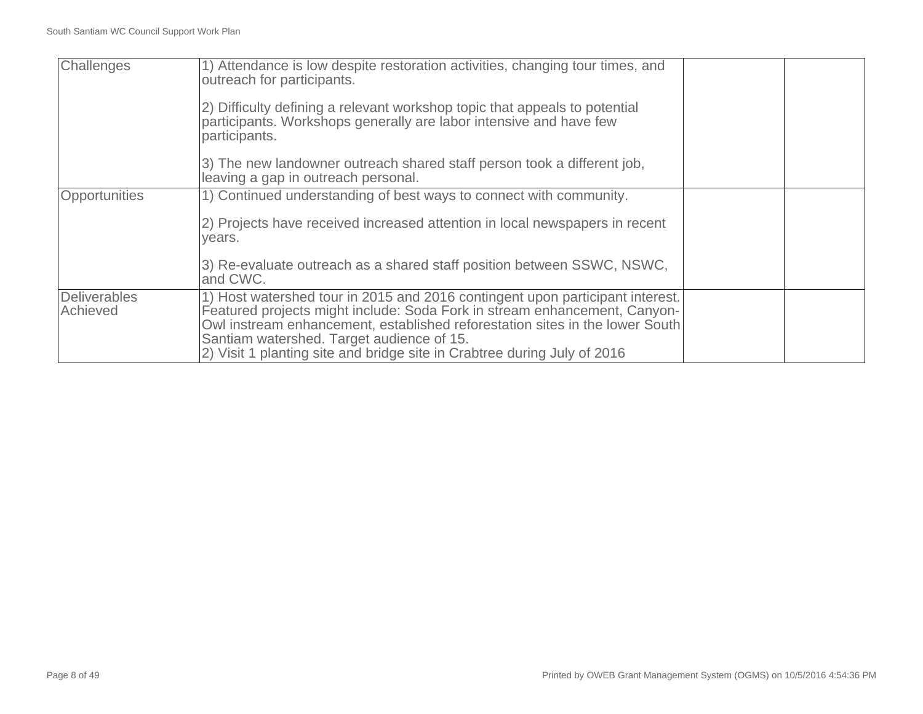| Challenges                      | 1) Attendance is low despite restoration activities, changing tour times, and<br>outreach for participants.<br>2) Difficulty defining a relevant workshop topic that appeals to potential<br>participants. Workshops generally are labor intensive and have few<br>participants.                                                                                    |  |
|---------------------------------|---------------------------------------------------------------------------------------------------------------------------------------------------------------------------------------------------------------------------------------------------------------------------------------------------------------------------------------------------------------------|--|
|                                 | 3) The new landowner outreach shared staff person took a different job,<br>leaving a gap in outreach personal.                                                                                                                                                                                                                                                      |  |
| Opportunities                   | 1) Continued understanding of best ways to connect with community.                                                                                                                                                                                                                                                                                                  |  |
|                                 | 2) Projects have received increased attention in local newspapers in recent<br>years.                                                                                                                                                                                                                                                                               |  |
|                                 | 3) Re-evaluate outreach as a shared staff position between SSWC, NSWC,<br>and CWC.                                                                                                                                                                                                                                                                                  |  |
| <b>Deliverables</b><br>Achieved | 1) Host watershed tour in 2015 and 2016 contingent upon participant interest.<br>Featured projects might include: Soda Fork in stream enhancement, Canyon-<br>Owl instream enhancement, established reforestation sites in the lower South<br>Santiam watershed. Target audience of 15.<br>2) Visit 1 planting site and bridge site in Crabtree during July of 2016 |  |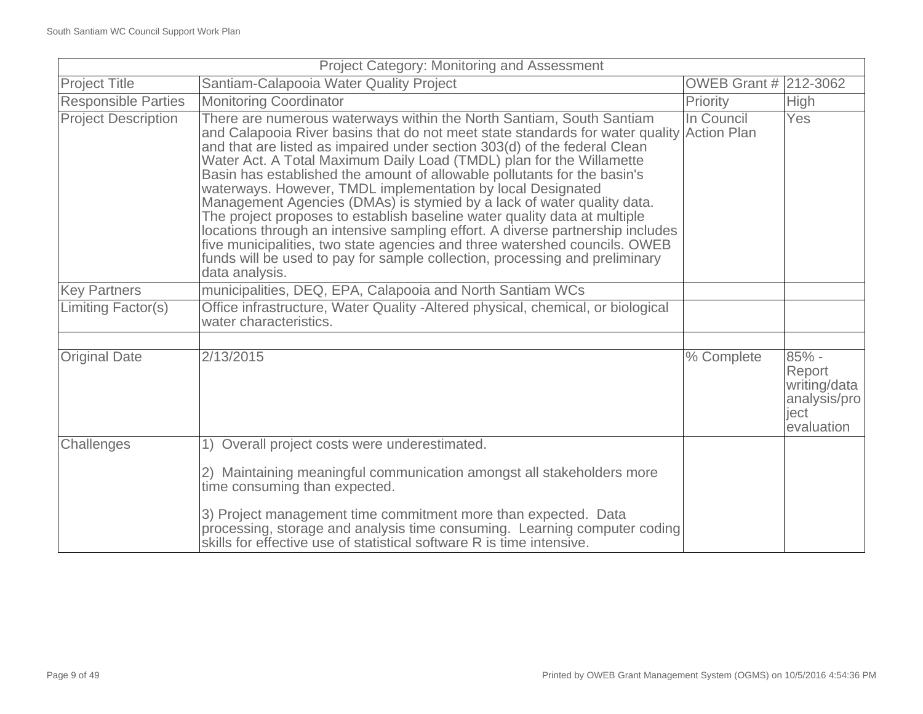| Project Category: Monitoring and Assessment |                                                                                                                                                                                                                                                                                                                                                                                                                                                                                                                                                                                                                                                                                                                                                                                                                                                                                           |                       |                                                                       |
|---------------------------------------------|-------------------------------------------------------------------------------------------------------------------------------------------------------------------------------------------------------------------------------------------------------------------------------------------------------------------------------------------------------------------------------------------------------------------------------------------------------------------------------------------------------------------------------------------------------------------------------------------------------------------------------------------------------------------------------------------------------------------------------------------------------------------------------------------------------------------------------------------------------------------------------------------|-----------------------|-----------------------------------------------------------------------|
| <b>Project Title</b>                        | Santiam-Calapooia Water Quality Project                                                                                                                                                                                                                                                                                                                                                                                                                                                                                                                                                                                                                                                                                                                                                                                                                                                   | OWEB Grant # 212-3062 |                                                                       |
| <b>Responsible Parties</b>                  | <b>Monitoring Coordinator</b>                                                                                                                                                                                                                                                                                                                                                                                                                                                                                                                                                                                                                                                                                                                                                                                                                                                             | Priority              | <b>High</b>                                                           |
| <b>Project Description</b>                  | There are numerous waterways within the North Santiam, South Santiam<br>and Calapooia River basins that do not meet state standards for water quality Action Plan<br>and that are listed as impaired under section 303(d) of the federal Clean<br>Water Act. A Total Maximum Daily Load (TMDL) plan for the Willamette<br>Basin has established the amount of allowable pollutants for the basin's<br>waterways. However, TMDL implementation by local Designated<br>Management Agencies (DMAs) is stymied by a lack of water quality data.<br>The project proposes to establish baseline water quality data at multiple<br>locations through an intensive sampling effort. A diverse partnership includes<br>five municipalities, two state agencies and three watershed councils. OWEB<br>funds will be used to pay for sample collection, processing and preliminary<br>data analysis. | In Council            | Yes                                                                   |
| <b>Key Partners</b>                         | municipalities, DEQ, EPA, Calapooia and North Santiam WCs                                                                                                                                                                                                                                                                                                                                                                                                                                                                                                                                                                                                                                                                                                                                                                                                                                 |                       |                                                                       |
| Limiting Factor(s)                          | Office infrastructure, Water Quality - Altered physical, chemical, or biological<br>water characteristics.                                                                                                                                                                                                                                                                                                                                                                                                                                                                                                                                                                                                                                                                                                                                                                                |                       |                                                                       |
|                                             |                                                                                                                                                                                                                                                                                                                                                                                                                                                                                                                                                                                                                                                                                                                                                                                                                                                                                           |                       |                                                                       |
| <b>Original Date</b>                        | 2/13/2015                                                                                                                                                                                                                                                                                                                                                                                                                                                                                                                                                                                                                                                                                                                                                                                                                                                                                 | % Complete            | 85% -<br>Report<br>writing/data<br>analysis/pro<br>ject<br>evaluation |
| Challenges                                  | 1) Overall project costs were underestimated.                                                                                                                                                                                                                                                                                                                                                                                                                                                                                                                                                                                                                                                                                                                                                                                                                                             |                       |                                                                       |
|                                             | 2) Maintaining meaningful communication amongst all stakeholders more<br>time consuming than expected.                                                                                                                                                                                                                                                                                                                                                                                                                                                                                                                                                                                                                                                                                                                                                                                    |                       |                                                                       |
|                                             | 3) Project management time commitment more than expected. Data<br>processing, storage and analysis time consuming. Learning computer coding<br>skills for effective use of statistical software R is time intensive.                                                                                                                                                                                                                                                                                                                                                                                                                                                                                                                                                                                                                                                                      |                       |                                                                       |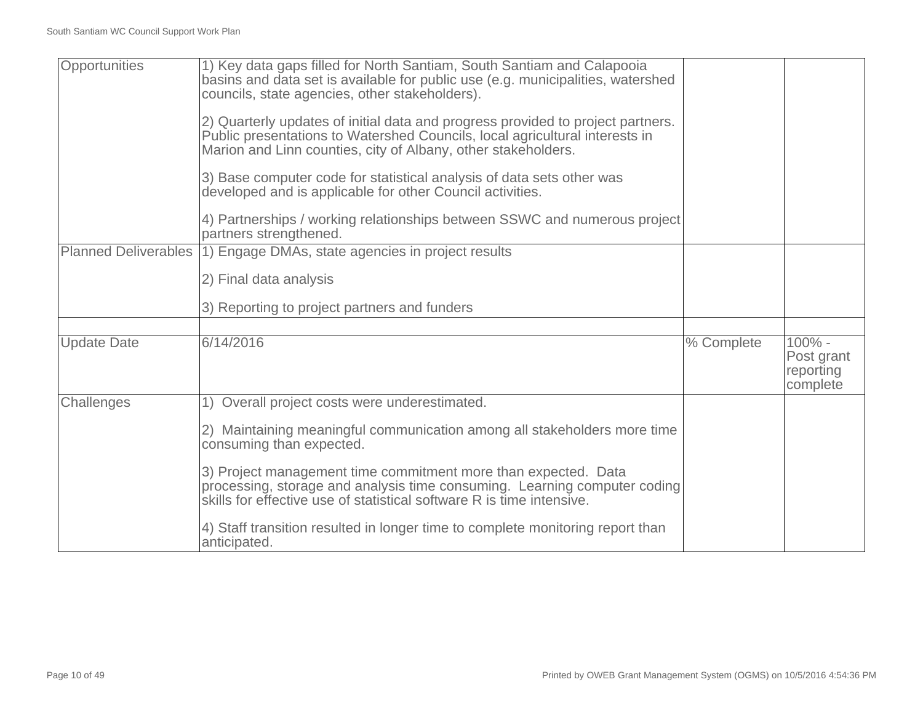| Opportunities               | 1) Key data gaps filled for North Santiam, South Santiam and Calapooia<br>basins and data set is available for public use (e.g. municipalities, watershed<br>councils, state agencies, other stakeholders).                     |            |                                               |
|-----------------------------|---------------------------------------------------------------------------------------------------------------------------------------------------------------------------------------------------------------------------------|------------|-----------------------------------------------|
|                             | 2) Quarterly updates of initial data and progress provided to project partners.<br>Public presentations to Watershed Councils, local agricultural interests in<br>Marion and Linn counties, city of Albany, other stakeholders. |            |                                               |
|                             | 3) Base computer code for statistical analysis of data sets other was<br>developed and is applicable for other Council activities.                                                                                              |            |                                               |
|                             | 4) Partnerships / working relationships between SSWC and numerous project<br>partners strengthened.                                                                                                                             |            |                                               |
| <b>Planned Deliverables</b> | 1) Engage DMAs, state agencies in project results                                                                                                                                                                               |            |                                               |
|                             | 2) Final data analysis                                                                                                                                                                                                          |            |                                               |
|                             | 3) Reporting to project partners and funders                                                                                                                                                                                    |            |                                               |
|                             |                                                                                                                                                                                                                                 |            |                                               |
| <b>Update Date</b>          | 6/14/2016                                                                                                                                                                                                                       | % Complete | 100% -<br>Post grant<br>reporting<br>complete |
| Challenges                  | 1) Overall project costs were underestimated.                                                                                                                                                                                   |            |                                               |
|                             | 2) Maintaining meaningful communication among all stakeholders more time<br>consuming than expected.                                                                                                                            |            |                                               |
|                             | 3) Project management time commitment more than expected. Data<br>processing, storage and analysis time consuming. Learning computer coding<br>skills for effective use of statistical software R is time intensive.            |            |                                               |
|                             | 4) Staff transition resulted in longer time to complete monitoring report than<br>anticipated.                                                                                                                                  |            |                                               |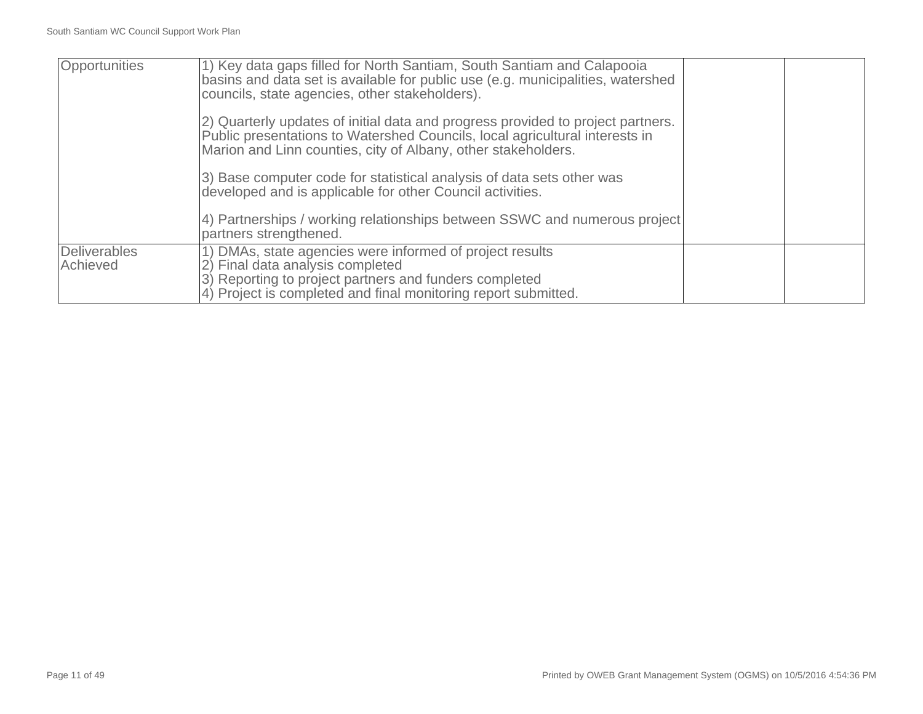| Opportunities            | 1) Key data gaps filled for North Santiam, South Santiam and Calapooia<br>basins and data set is available for public use (e.g. municipalities, watershed<br>councils, state agencies, other stakeholders).<br>2) Quarterly updates of initial data and progress provided to project partners.<br>Public presentations to Watershed Councils, local agricultural interests in<br>Marion and Linn counties, city of Albany, other stakeholders.<br>3) Base computer code for statistical analysis of data sets other was<br>developed and is applicable for other Council activities. |  |
|--------------------------|--------------------------------------------------------------------------------------------------------------------------------------------------------------------------------------------------------------------------------------------------------------------------------------------------------------------------------------------------------------------------------------------------------------------------------------------------------------------------------------------------------------------------------------------------------------------------------------|--|
|                          | 4) Partnerships / working relationships between SSWC and numerous project<br>partners strengthened.                                                                                                                                                                                                                                                                                                                                                                                                                                                                                  |  |
| Deliverables<br>Achieved | 1) DMAs, state agencies were informed of project results<br>2) Final data analysis completed<br>3) Reporting to project partners and funders completed<br>4) Project is completed and final monitoring report submitted.                                                                                                                                                                                                                                                                                                                                                             |  |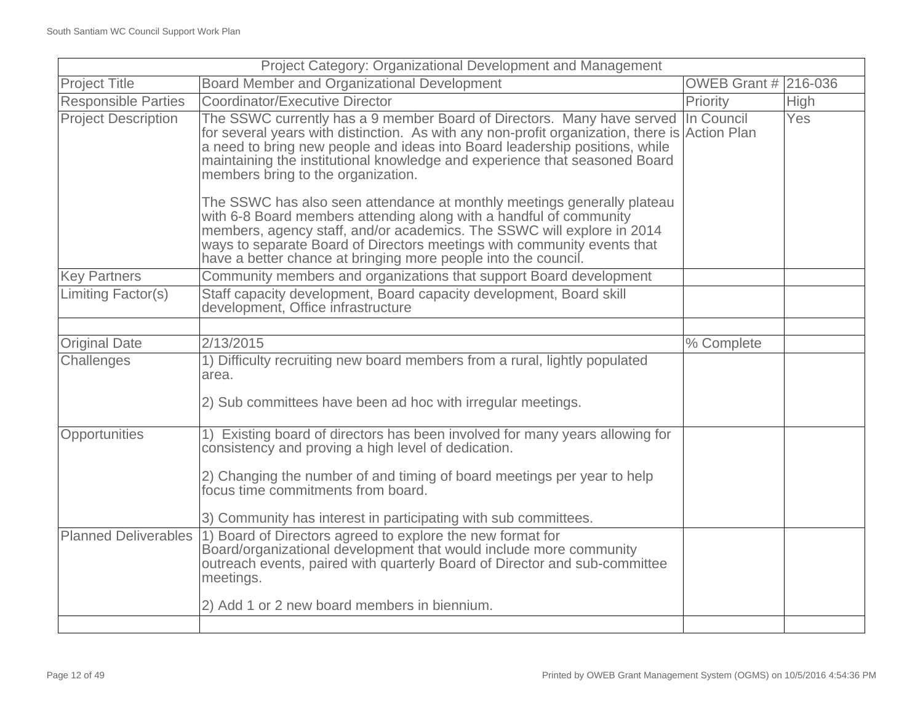| Project Category: Organizational Development and Management |                                                                                                                                                                                                                                                                                                                                                                                       |                      |             |
|-------------------------------------------------------------|---------------------------------------------------------------------------------------------------------------------------------------------------------------------------------------------------------------------------------------------------------------------------------------------------------------------------------------------------------------------------------------|----------------------|-------------|
| <b>Project Title</b>                                        | <b>Board Member and Organizational Development</b>                                                                                                                                                                                                                                                                                                                                    | OWEB Grant # 216-036 |             |
| <b>Responsible Parties</b>                                  | <b>Coordinator/Executive Director</b>                                                                                                                                                                                                                                                                                                                                                 | Priority             | <b>High</b> |
| <b>Project Description</b>                                  | The SSWC currently has a 9 member Board of Directors. Many have served In Council<br>for several years with distinction. As with any non-profit organization, there is Action Plan<br>a need to bring new people and ideas into Board leadership positions, while<br>maintaining the institutional knowledge and experience that seasoned Board<br>members bring to the organization. |                      | Yes         |
|                                                             | The SSWC has also seen attendance at monthly meetings generally plateau<br>with 6-8 Board members attending along with a handful of community<br>members, agency staff, and/or academics. The SSWC will explore in 2014<br>ways to separate Board of Directors meetings with community events that<br>have a better chance at bringing more people into the council.                  |                      |             |
| <b>Key Partners</b>                                         | Community members and organizations that support Board development                                                                                                                                                                                                                                                                                                                    |                      |             |
| Limiting Factor(s)                                          | Staff capacity development, Board capacity development, Board skill<br>development, Office infrastructure                                                                                                                                                                                                                                                                             |                      |             |
|                                                             |                                                                                                                                                                                                                                                                                                                                                                                       |                      |             |
| <b>Original Date</b>                                        | 2/13/2015                                                                                                                                                                                                                                                                                                                                                                             | % Complete           |             |
| Challenges                                                  | 1) Difficulty recruiting new board members from a rural, lightly populated<br>area.                                                                                                                                                                                                                                                                                                   |                      |             |
|                                                             | 2) Sub committees have been ad hoc with irregular meetings.                                                                                                                                                                                                                                                                                                                           |                      |             |
| Opportunities                                               | 1) Existing board of directors has been involved for many years allowing for<br>consistency and proving a high level of dedication.                                                                                                                                                                                                                                                   |                      |             |
|                                                             | 2) Changing the number of and timing of board meetings per year to help<br>focus time commitments from board.                                                                                                                                                                                                                                                                         |                      |             |
|                                                             | 3) Community has interest in participating with sub committees.                                                                                                                                                                                                                                                                                                                       |                      |             |
|                                                             | Planned Deliverables (1) Board of Directors agreed to explore the new format for<br>Board/organizational development that would include more community<br>outreach events, paired with quarterly Board of Director and sub-committee<br>meetings.                                                                                                                                     |                      |             |
|                                                             | 2) Add 1 or 2 new board members in biennium.                                                                                                                                                                                                                                                                                                                                          |                      |             |
|                                                             |                                                                                                                                                                                                                                                                                                                                                                                       |                      |             |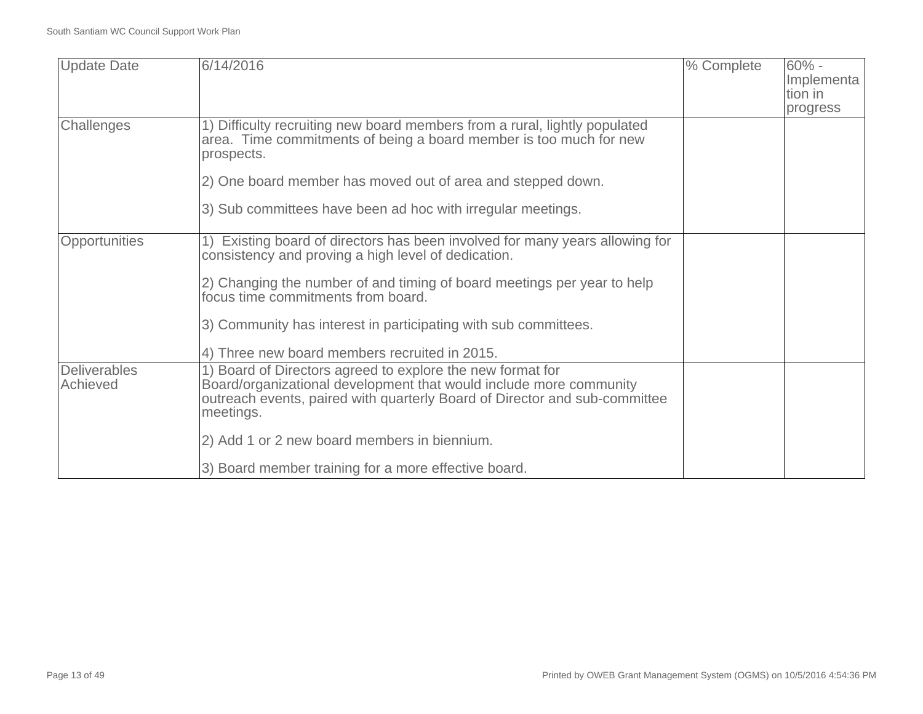| <b>Update Date</b>  | 6/14/2016                                                                    | % Complete | $60% -$    |
|---------------------|------------------------------------------------------------------------------|------------|------------|
|                     |                                                                              |            | Implementa |
|                     |                                                                              |            | tion in    |
|                     |                                                                              |            | progress   |
| Challenges          | 1) Difficulty recruiting new board members from a rural, lightly populated   |            |            |
|                     | area. Time commitments of being a board member is too much for new           |            |            |
|                     | prospects.                                                                   |            |            |
|                     | 2) One board member has moved out of area and stepped down.                  |            |            |
|                     |                                                                              |            |            |
|                     | 3) Sub committees have been ad hoc with irregular meetings.                  |            |            |
|                     |                                                                              |            |            |
| Opportunities       | 1) Existing board of directors has been involved for many years allowing for |            |            |
|                     | consistency and proving a high level of dedication.                          |            |            |
|                     |                                                                              |            |            |
|                     | 2) Changing the number of and timing of board meetings per year to help      |            |            |
|                     | focus time commitments from board.                                           |            |            |
|                     | 3) Community has interest in participating with sub committees.              |            |            |
|                     |                                                                              |            |            |
|                     | 4) Three new board members recruited in 2015.                                |            |            |
| <b>Deliverables</b> | 1) Board of Directors agreed to explore the new format for                   |            |            |
| Achieved            | Board/organizational development that would include more community           |            |            |
|                     | outreach events, paired with quarterly Board of Director and sub-committee   |            |            |
|                     | meetings.                                                                    |            |            |
|                     |                                                                              |            |            |
|                     | 2) Add 1 or 2 new board members in biennium.                                 |            |            |
|                     |                                                                              |            |            |
|                     | 3) Board member training for a more effective board.                         |            |            |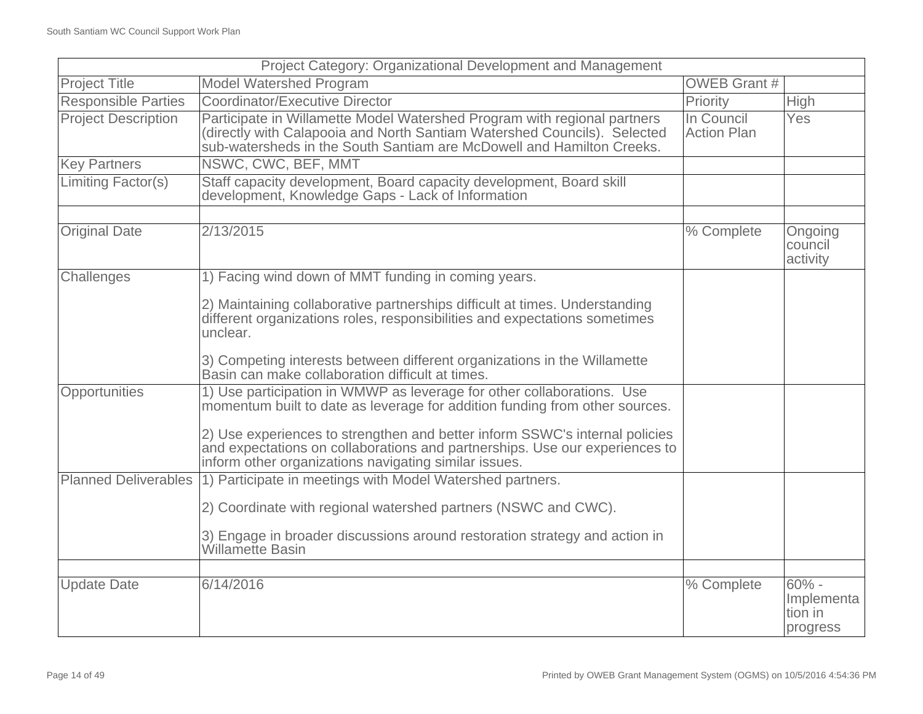| Project Category: Organizational Development and Management |                                                                                                                                                                                                                               |                                  |                                               |
|-------------------------------------------------------------|-------------------------------------------------------------------------------------------------------------------------------------------------------------------------------------------------------------------------------|----------------------------------|-----------------------------------------------|
| <b>Project Title</b>                                        | <b>Model Watershed Program</b>                                                                                                                                                                                                | <b>OWEB Grant #</b>              |                                               |
| <b>Responsible Parties</b>                                  | Coordinator/Executive Director                                                                                                                                                                                                | Priority                         | High                                          |
| <b>Project Description</b>                                  | Participate in Willamette Model Watershed Program with regional partners<br>(directly with Calapooia and North Santiam Watershed Councils). Selected<br>sub-watersheds in the South Santiam are McDowell and Hamilton Creeks. | In Council<br><b>Action Plan</b> | Yes                                           |
| <b>Key Partners</b>                                         | NSWC, CWC, BEF, MMT                                                                                                                                                                                                           |                                  |                                               |
| Limiting Factor(s)                                          | Staff capacity development, Board capacity development, Board skill<br>development, Knowledge Gaps - Lack of Information                                                                                                      |                                  |                                               |
|                                                             |                                                                                                                                                                                                                               |                                  |                                               |
| <b>Original Date</b>                                        | 2/13/2015                                                                                                                                                                                                                     | % Complete                       | Ongoing<br>council<br>activity                |
| Challenges                                                  | 1) Facing wind down of MMT funding in coming years.                                                                                                                                                                           |                                  |                                               |
|                                                             | 2) Maintaining collaborative partnerships difficult at times. Understanding<br>different organizations roles, responsibilities and expectations sometimes<br>unclear.                                                         |                                  |                                               |
|                                                             | 3) Competing interests between different organizations in the Willamette<br>Basin can make collaboration difficult at times.                                                                                                  |                                  |                                               |
| Opportunities                                               | 1) Use participation in WMWP as leverage for other collaborations. Use<br>momentum built to date as leverage for addition funding from other sources.                                                                         |                                  |                                               |
|                                                             | 2) Use experiences to strengthen and better inform SSWC's internal policies<br>and expectations on collaborations and partnerships. Use our experiences to<br>inform other organizations navigating similar issues.           |                                  |                                               |
| <b>Planned Deliverables</b>                                 | 1) Participate in meetings with Model Watershed partners.                                                                                                                                                                     |                                  |                                               |
|                                                             | 2) Coordinate with regional watershed partners (NSWC and CWC).                                                                                                                                                                |                                  |                                               |
|                                                             | 3) Engage in broader discussions around restoration strategy and action in<br><b>Willamette Basin</b>                                                                                                                         |                                  |                                               |
|                                                             |                                                                                                                                                                                                                               |                                  |                                               |
| <b>Update Date</b>                                          | 6/14/2016                                                                                                                                                                                                                     | % Complete                       | $60\%$ -<br>Implementa<br>tion in<br>progress |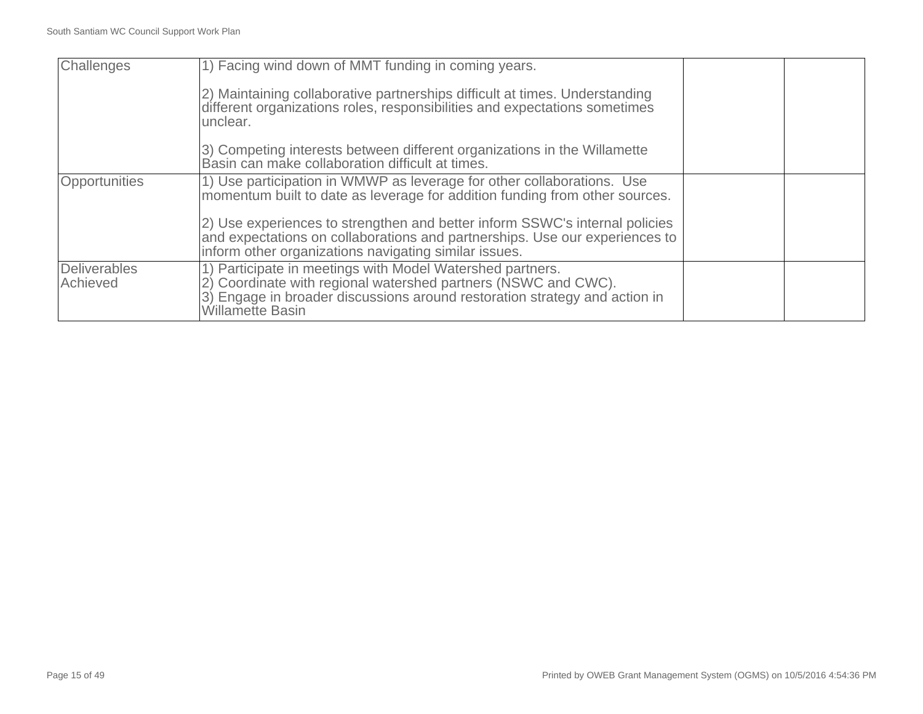| Challenges               | 1) Facing wind down of MMT funding in coming years.                                                                                                                                                                                  |  |
|--------------------------|--------------------------------------------------------------------------------------------------------------------------------------------------------------------------------------------------------------------------------------|--|
|                          | 2) Maintaining collaborative partnerships difficult at times. Understanding<br>different organizations roles, responsibilities and expectations sometimes<br>unclear.                                                                |  |
|                          | 3) Competing interests between different organizations in the Willamette<br>Basin can make collaboration difficult at times.                                                                                                         |  |
| Opportunities            | 1) Use participation in WMWP as leverage for other collaborations. Use<br>momentum built to date as leverage for addition funding from other sources.                                                                                |  |
|                          | (2) Use experiences to strengthen and better inform SSWC's internal policies<br>and expectations on collaborations and partnerships. Use our experiences to<br>inform other organizations navigating similar issues.                 |  |
| Deliverables<br>Achieved | 1) Participate in meetings with Model Watershed partners.<br>2) Coordinate with regional watershed partners (NSWC and CWC).<br>3) Engage in broader discussions around restoration strategy and action in<br><b>Willamette Basin</b> |  |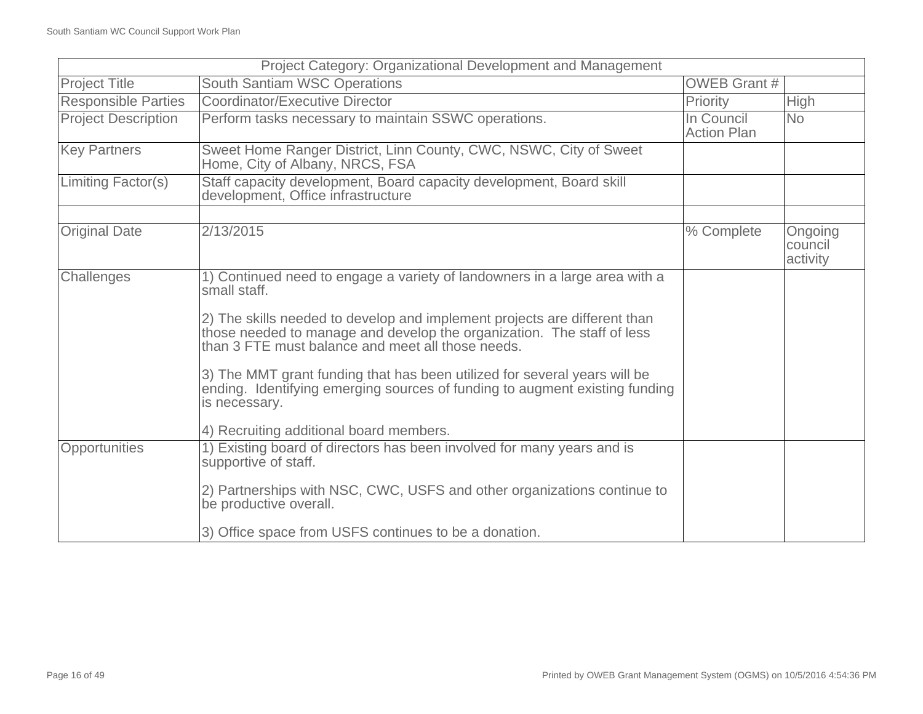| Project Category: Organizational Development and Management |                                                                                                                                                                                                          |                                  |                                |
|-------------------------------------------------------------|----------------------------------------------------------------------------------------------------------------------------------------------------------------------------------------------------------|----------------------------------|--------------------------------|
| <b>Project Title</b>                                        | South Santiam WSC Operations                                                                                                                                                                             | <b>OWEB Grant #</b>              |                                |
| <b>Responsible Parties</b>                                  | <b>Coordinator/Executive Director</b>                                                                                                                                                                    | Priority                         | <b>High</b>                    |
| <b>Project Description</b>                                  | Perform tasks necessary to maintain SSWC operations.                                                                                                                                                     | In Council<br><b>Action Plan</b> | <b>No</b>                      |
| <b>Key Partners</b>                                         | Sweet Home Ranger District, Linn County, CWC, NSWC, City of Sweet<br>Home, City of Albany, NRCS, FSA                                                                                                     |                                  |                                |
| Limiting Factor(s)                                          | Staff capacity development, Board capacity development, Board skill<br>development, Office infrastructure                                                                                                |                                  |                                |
|                                                             |                                                                                                                                                                                                          |                                  |                                |
| <b>Original Date</b>                                        | 2/13/2015                                                                                                                                                                                                | % Complete                       | Ongoing<br>council<br>activity |
| Challenges                                                  | 1) Continued need to engage a variety of landowners in a large area with a<br>small staff.                                                                                                               |                                  |                                |
|                                                             | 2) The skills needed to develop and implement projects are different than<br>those needed to manage and develop the organization. The staff of less<br>than 3 FTE must balance and meet all those needs. |                                  |                                |
|                                                             | 3) The MMT grant funding that has been utilized for several years will be<br>ending. Identifying emerging sources of funding to augment existing funding<br>is necessary.                                |                                  |                                |
|                                                             | 4) Recruiting additional board members.                                                                                                                                                                  |                                  |                                |
| Opportunities                                               | 1) Existing board of directors has been involved for many years and is<br>supportive of staff.                                                                                                           |                                  |                                |
|                                                             | 2) Partnerships with NSC, CWC, USFS and other organizations continue to<br>be productive overall.                                                                                                        |                                  |                                |
|                                                             | 3) Office space from USFS continues to be a donation.                                                                                                                                                    |                                  |                                |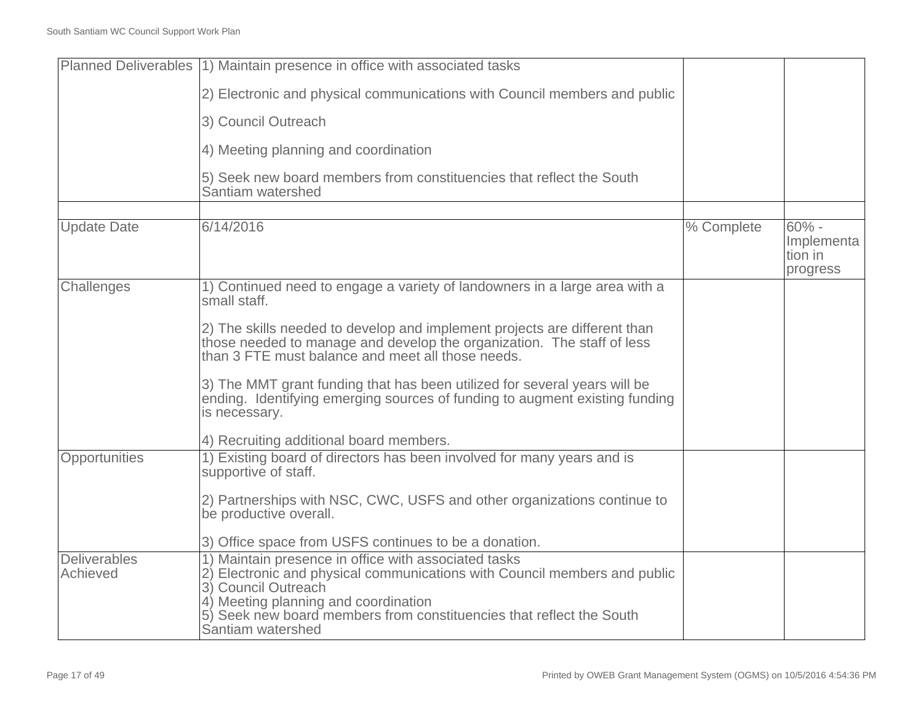| Planned Deliverables (1) Maintain presence in office with associated tasks                                                                                                                                       |                                                                                        |                                              |
|------------------------------------------------------------------------------------------------------------------------------------------------------------------------------------------------------------------|----------------------------------------------------------------------------------------|----------------------------------------------|
|                                                                                                                                                                                                                  |                                                                                        |                                              |
| 2) Electronic and physical communications with Council members and public                                                                                                                                        |                                                                                        |                                              |
| 3) Council Outreach                                                                                                                                                                                              |                                                                                        |                                              |
| 4) Meeting planning and coordination                                                                                                                                                                             |                                                                                        |                                              |
| 5) Seek new board members from constituencies that reflect the South<br>Santiam watershed                                                                                                                        |                                                                                        |                                              |
|                                                                                                                                                                                                                  |                                                                                        |                                              |
|                                                                                                                                                                                                                  |                                                                                        | $60% -$<br>Implementa<br>tion in<br>progress |
| 1) Continued need to engage a variety of landowners in a large area with a<br>small staff.                                                                                                                       |                                                                                        |                                              |
| 2) The skills needed to develop and implement projects are different than<br>those needed to manage and develop the organization. The staff of less<br>than 3 FTE must balance and meet all those needs.         |                                                                                        |                                              |
| 3) The MMT grant funding that has been utilized for several years will be<br>ending. Identifying emerging sources of funding to augment existing funding<br>is necessary.                                        |                                                                                        |                                              |
| 4) Recruiting additional board members.                                                                                                                                                                          |                                                                                        |                                              |
| 1) Existing board of directors has been involved for many years and is<br>supportive of staff.                                                                                                                   |                                                                                        |                                              |
| 2) Partnerships with NSC, CWC, USFS and other organizations continue to<br>be productive overall.                                                                                                                |                                                                                        |                                              |
| 3) Office space from USFS continues to be a donation.                                                                                                                                                            |                                                                                        |                                              |
| 2) Electronic and physical communications with Council members and public<br>3) Council Outreach<br>4) Meeting planning and coordination<br>5) Seek new board members from constituencies that reflect the South |                                                                                        |                                              |
|                                                                                                                                                                                                                  | 6/14/2016<br>1) Maintain presence in office with associated tasks<br>Santiam watershed | % Complete                                   |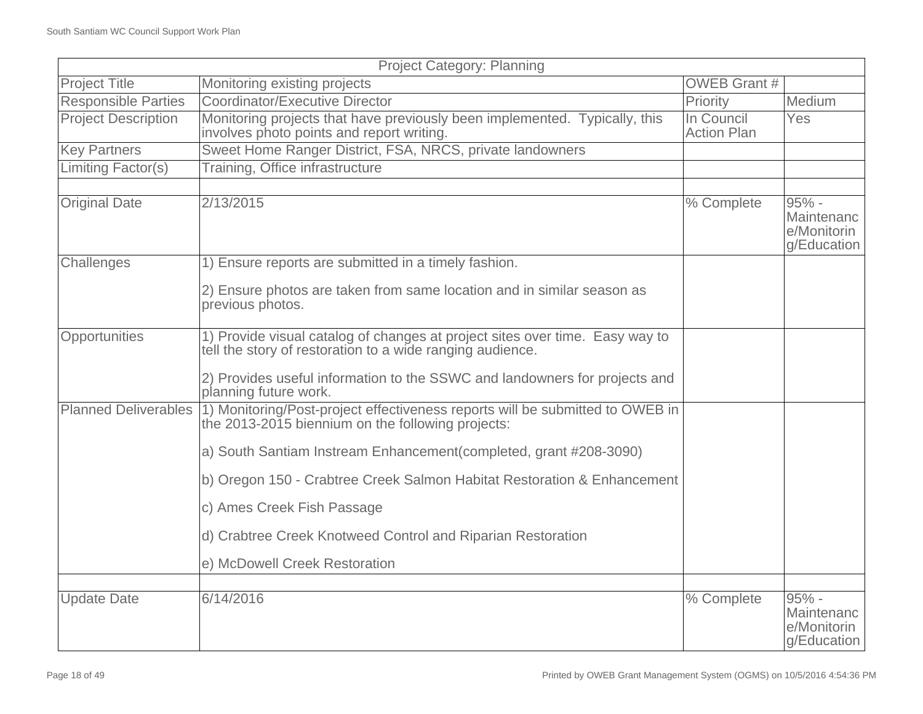| <b>Project Category: Planning</b> |                                                                                                                                                          |                                  |                                                     |
|-----------------------------------|----------------------------------------------------------------------------------------------------------------------------------------------------------|----------------------------------|-----------------------------------------------------|
| <b>Project Title</b>              | Monitoring existing projects                                                                                                                             | <b>OWEB Grant #</b>              |                                                     |
| <b>Responsible Parties</b>        | Coordinator/Executive Director                                                                                                                           | Priority                         | Medium                                              |
| <b>Project Description</b>        | Monitoring projects that have previously been implemented. Typically, this<br>involves photo points and report writing.                                  | In Council<br><b>Action Plan</b> | Yes                                                 |
| <b>Key Partners</b>               | Sweet Home Ranger District, FSA, NRCS, private landowners                                                                                                |                                  |                                                     |
| <b>Limiting Factor(s)</b>         | Training, Office infrastructure                                                                                                                          |                                  |                                                     |
|                                   |                                                                                                                                                          |                                  |                                                     |
| <b>Original Date</b>              | 2/13/2015                                                                                                                                                | % Complete                       | $95% -$<br>Maintenanc<br>e/Monitorin<br>g/Education |
| Challenges                        | 1) Ensure reports are submitted in a timely fashion.                                                                                                     |                                  |                                                     |
|                                   | 2) Ensure photos are taken from same location and in similar season as<br>previous photos.                                                               |                                  |                                                     |
| Opportunities                     | 1) Provide visual catalog of changes at project sites over time. Easy way to<br>tell the story of restoration to a wide ranging audience.                |                                  |                                                     |
|                                   | 2) Provides useful information to the SSWC and landowners for projects and<br>planning future work.                                                      |                                  |                                                     |
|                                   | Planned Deliverables (1) Monitoring/Post-project effectiveness reports will be submitted to OWEB in<br>the 2013-2015 biennium on the following projects: |                                  |                                                     |
|                                   | a) South Santiam Instream Enhancement (completed, grant #208-3090)                                                                                       |                                  |                                                     |
|                                   | b) Oregon 150 - Crabtree Creek Salmon Habitat Restoration & Enhancement                                                                                  |                                  |                                                     |
|                                   | c) Ames Creek Fish Passage                                                                                                                               |                                  |                                                     |
|                                   | d) Crabtree Creek Knotweed Control and Riparian Restoration                                                                                              |                                  |                                                     |
|                                   | e) McDowell Creek Restoration                                                                                                                            |                                  |                                                     |
| <b>Update Date</b>                | 6/14/2016                                                                                                                                                | % Complete                       | $95% -$                                             |
|                                   |                                                                                                                                                          |                                  | Maintenanc<br>e/Monitorin<br>g/Education            |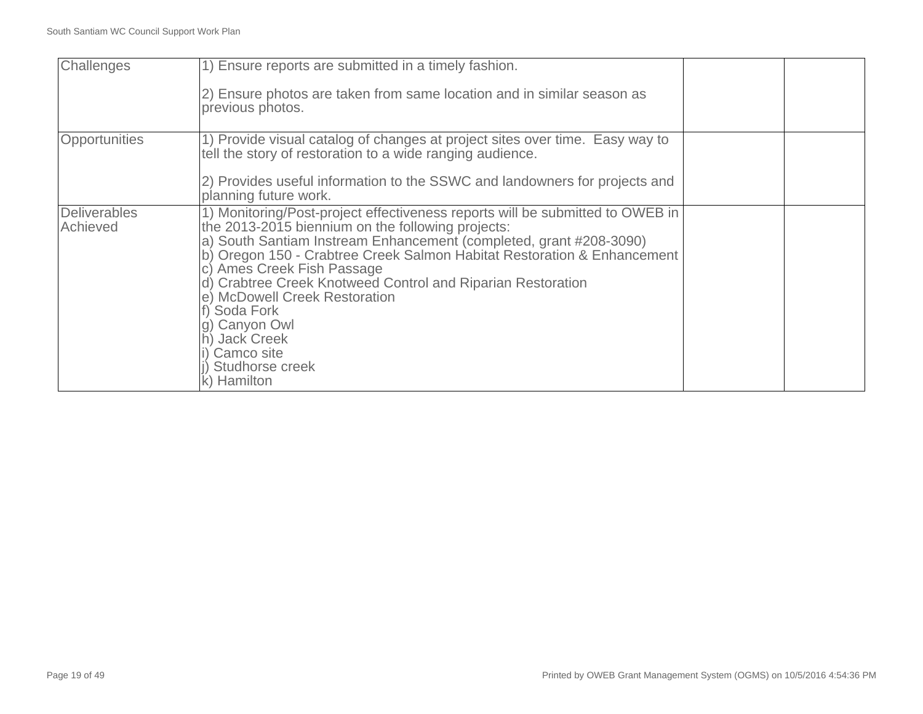| Challenges                      | 1) Ensure reports are submitted in a timely fashion.<br>(2) Ensure photos are taken from same location and in similar season as<br>previous photos.                                                                                                                                                                                                                                                                                                                                                               |  |
|---------------------------------|-------------------------------------------------------------------------------------------------------------------------------------------------------------------------------------------------------------------------------------------------------------------------------------------------------------------------------------------------------------------------------------------------------------------------------------------------------------------------------------------------------------------|--|
| Opportunities                   | 1) Provide visual catalog of changes at project sites over time. Easy way to<br>tell the story of restoration to a wide ranging audience.<br>2) Provides useful information to the SSWC and landowners for projects and<br>planning future work.                                                                                                                                                                                                                                                                  |  |
| <b>Deliverables</b><br>Achieved | 1) Monitoring/Post-project effectiveness reports will be submitted to OWEB in<br>the 2013-2015 biennium on the following projects:<br>a) South Santiam Instream Enhancement (completed, grant #208-3090)<br>b) Oregon 150 - Crabtree Creek Salmon Habitat Restoration & Enhancement<br>c) Ames Creek Fish Passage<br>d) Crabtree Creek Knotweed Control and Riparian Restoration<br>e) McDowell Creek Restoration<br>Soda Fork<br>Canyon Owl<br><b>Jack Creek</b><br>Camco site<br>Studhorse creek<br>k) Hamilton |  |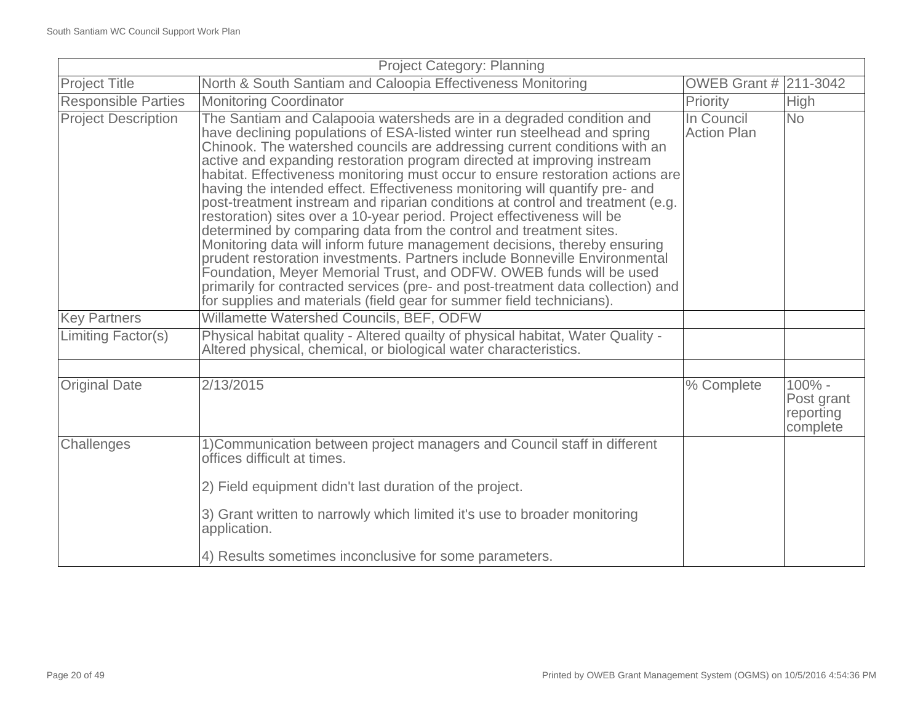| <b>Project Category: Planning</b> |                                                                                                                                                                                                                                                                                                                                                                                                                                                                                                                                                                                                                                                                                                                                                                                                                                                                                                                                                                                                                                                                                                            |                                  |                                                  |
|-----------------------------------|------------------------------------------------------------------------------------------------------------------------------------------------------------------------------------------------------------------------------------------------------------------------------------------------------------------------------------------------------------------------------------------------------------------------------------------------------------------------------------------------------------------------------------------------------------------------------------------------------------------------------------------------------------------------------------------------------------------------------------------------------------------------------------------------------------------------------------------------------------------------------------------------------------------------------------------------------------------------------------------------------------------------------------------------------------------------------------------------------------|----------------------------------|--------------------------------------------------|
| <b>Project Title</b>              | North & South Santiam and Caloopia Effectiveness Monitoring                                                                                                                                                                                                                                                                                                                                                                                                                                                                                                                                                                                                                                                                                                                                                                                                                                                                                                                                                                                                                                                | OWEB Grant # 211-3042            |                                                  |
| <b>Responsible Parties</b>        | <b>Monitoring Coordinator</b>                                                                                                                                                                                                                                                                                                                                                                                                                                                                                                                                                                                                                                                                                                                                                                                                                                                                                                                                                                                                                                                                              | Priority                         | <b>High</b>                                      |
| <b>Project Description</b>        | The Santiam and Calapooia watersheds are in a degraded condition and<br>have declining populations of ESA-listed winter run steelhead and spring<br>Chinook. The watershed councils are addressing current conditions with an<br>active and expanding restoration program directed at improving instream<br>habitat. Effectiveness monitoring must occur to ensure restoration actions are<br>having the intended effect. Effectiveness monitoring will quantify pre- and<br>post-treatment instream and riparian conditions at control and treatment (e.g.<br>restoration) sites over a 10-year period. Project effectiveness will be<br>determined by comparing data from the control and treatment sites.<br>Monitoring data will inform future management decisions, thereby ensuring<br>prudent restoration investments. Partners include Bonneville Environmental<br>Foundation, Meyer Memorial Trust, and ODFW. OWEB funds will be used<br>primarily for contracted services (pre- and post-treatment data collection) and<br>for supplies and materials (field gear for summer field technicians). | In Council<br><b>Action Plan</b> | <b>No</b>                                        |
| <b>Key Partners</b>               | Willamette Watershed Councils, BEF, ODFW                                                                                                                                                                                                                                                                                                                                                                                                                                                                                                                                                                                                                                                                                                                                                                                                                                                                                                                                                                                                                                                                   |                                  |                                                  |
| Limiting Factor(s)                | Physical habitat quality - Altered quailty of physical habitat, Water Quality -<br>Altered physical, chemical, or biological water characteristics.                                                                                                                                                                                                                                                                                                                                                                                                                                                                                                                                                                                                                                                                                                                                                                                                                                                                                                                                                        |                                  |                                                  |
|                                   |                                                                                                                                                                                                                                                                                                                                                                                                                                                                                                                                                                                                                                                                                                                                                                                                                                                                                                                                                                                                                                                                                                            |                                  |                                                  |
| <b>Original Date</b>              | 2/13/2015                                                                                                                                                                                                                                                                                                                                                                                                                                                                                                                                                                                                                                                                                                                                                                                                                                                                                                                                                                                                                                                                                                  | % Complete                       | $100\%$ -<br>Post grant<br>reporting<br>complete |
| Challenges                        | 1) Communication between project managers and Council staff in different<br>offices difficult at times.<br>2) Field equipment didn't last duration of the project.                                                                                                                                                                                                                                                                                                                                                                                                                                                                                                                                                                                                                                                                                                                                                                                                                                                                                                                                         |                                  |                                                  |
|                                   | 3) Grant written to narrowly which limited it's use to broader monitoring<br>application.                                                                                                                                                                                                                                                                                                                                                                                                                                                                                                                                                                                                                                                                                                                                                                                                                                                                                                                                                                                                                  |                                  |                                                  |
|                                   | 4) Results sometimes inconclusive for some parameters.                                                                                                                                                                                                                                                                                                                                                                                                                                                                                                                                                                                                                                                                                                                                                                                                                                                                                                                                                                                                                                                     |                                  |                                                  |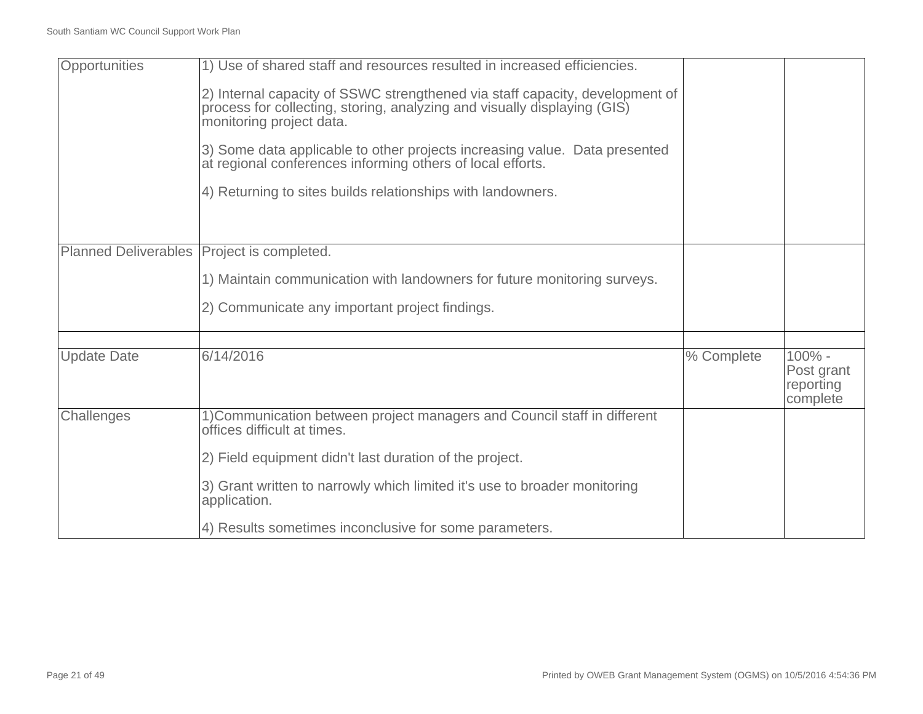| Opportunities               | 1) Use of shared staff and resources resulted in increased efficiencies.                                                                                                             |            |                                                 |
|-----------------------------|--------------------------------------------------------------------------------------------------------------------------------------------------------------------------------------|------------|-------------------------------------------------|
|                             | 2) Internal capacity of SSWC strengthened via staff capacity, development of<br>process for collecting, storing, analyzing and visually displaying (GIS)<br>monitoring project data. |            |                                                 |
|                             | 3) Some data applicable to other projects increasing value. Data presented<br>at regional conferences informing others of local efforts.                                             |            |                                                 |
|                             | 4) Returning to sites builds relationships with landowners.                                                                                                                          |            |                                                 |
|                             |                                                                                                                                                                                      |            |                                                 |
| <b>Planned Deliverables</b> | Project is completed.                                                                                                                                                                |            |                                                 |
|                             | 1) Maintain communication with landowners for future monitoring surveys.                                                                                                             |            |                                                 |
|                             | 2) Communicate any important project findings.                                                                                                                                       |            |                                                 |
|                             |                                                                                                                                                                                      |            |                                                 |
| <b>Update Date</b>          | 6/14/2016                                                                                                                                                                            | % Complete | $100% -$<br>Post grant<br>reporting<br>complete |
| Challenges                  | 1) Communication between project managers and Council staff in different<br>offices difficult at times.                                                                              |            |                                                 |
|                             | 2) Field equipment didn't last duration of the project.                                                                                                                              |            |                                                 |
|                             | 3) Grant written to narrowly which limited it's use to broader monitoring<br>application.                                                                                            |            |                                                 |
|                             | 4) Results sometimes inconclusive for some parameters.                                                                                                                               |            |                                                 |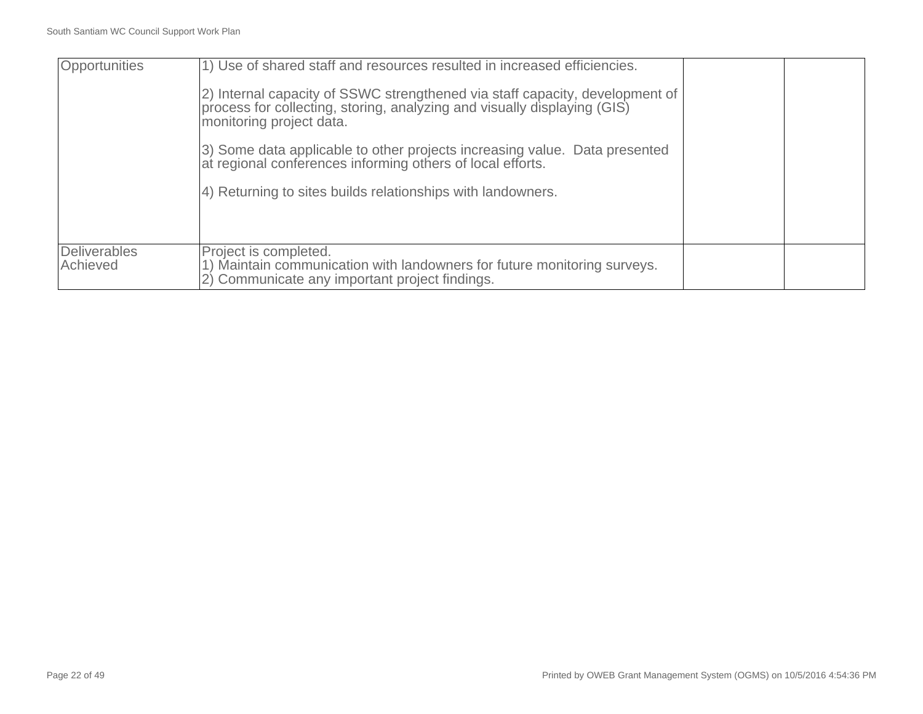| Opportunities                   | 1) Use of shared staff and resources resulted in increased efficiencies.                                                                                                             |  |
|---------------------------------|--------------------------------------------------------------------------------------------------------------------------------------------------------------------------------------|--|
|                                 | 2) Internal capacity of SSWC strengthened via staff capacity, development of<br>process for collecting, storing, analyzing and visually displaying (GIS)<br>monitoring project data. |  |
|                                 | 3) Some data applicable to other projects increasing value. Data presented<br>at regional conferences informing others of local efforts.                                             |  |
|                                 | 4) Returning to sites builds relationships with landowners.                                                                                                                          |  |
|                                 |                                                                                                                                                                                      |  |
| <b>Deliverables</b><br>Achieved | Project is completed.<br>1) Maintain communication with landowners for future monitoring surveys.<br>2) Communicate any important project findings.                                  |  |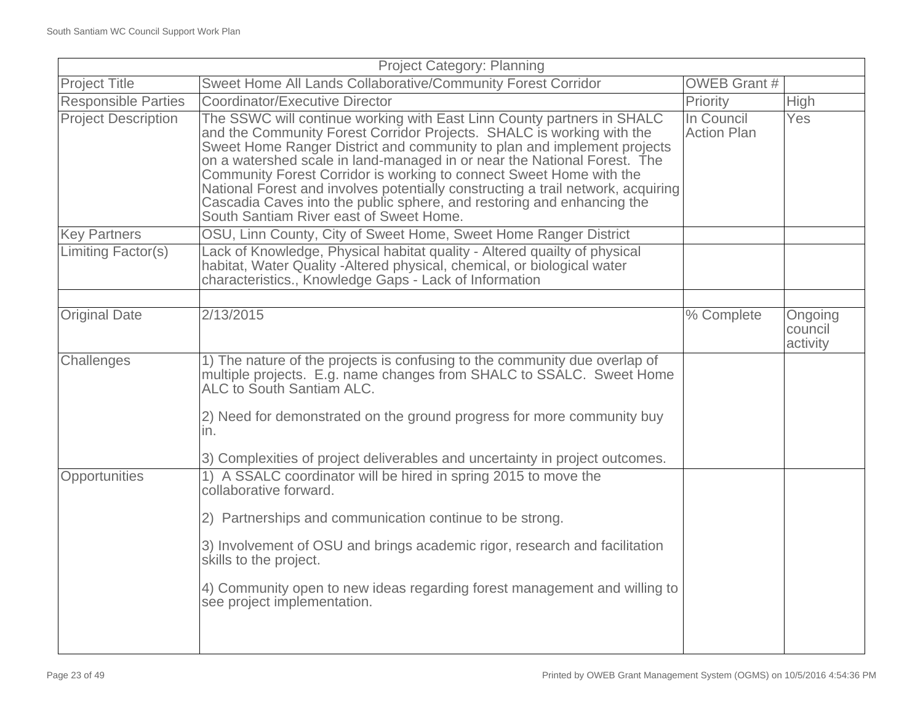| <b>Project Category: Planning</b> |                                                                                                                                                                                                                                                                                                                                                                                                                                                                                                                                                                                        |                                  |                                |
|-----------------------------------|----------------------------------------------------------------------------------------------------------------------------------------------------------------------------------------------------------------------------------------------------------------------------------------------------------------------------------------------------------------------------------------------------------------------------------------------------------------------------------------------------------------------------------------------------------------------------------------|----------------------------------|--------------------------------|
| <b>Project Title</b>              | Sweet Home All Lands Collaborative/Community Forest Corridor                                                                                                                                                                                                                                                                                                                                                                                                                                                                                                                           | <b>OWEB Grant #</b>              |                                |
| <b>Responsible Parties</b>        | Coordinator/Executive Director                                                                                                                                                                                                                                                                                                                                                                                                                                                                                                                                                         | Priority                         | <b>High</b>                    |
| <b>Project Description</b>        | The SSWC will continue working with East Linn County partners in SHALC<br>and the Community Forest Corridor Projects. SHALC is working with the<br>Sweet Home Ranger District and community to plan and implement projects<br>on a watershed scale in land-managed in or near the National Forest. The<br>Community Forest Corridor is working to connect Sweet Home with the<br>National Forest and involves potentially constructing a trail network, acquiring<br>Cascadia Caves into the public sphere, and restoring and enhancing the<br>South Santiam River east of Sweet Home. | In Council<br><b>Action Plan</b> | <b>Yes</b>                     |
| <b>Key Partners</b>               | OSU, Linn County, City of Sweet Home, Sweet Home Ranger District                                                                                                                                                                                                                                                                                                                                                                                                                                                                                                                       |                                  |                                |
| Limiting Factor(s)                | Lack of Knowledge, Physical habitat quality - Altered quailty of physical<br>habitat, Water Quality - Altered physical, chemical, or biological water<br>characteristics., Knowledge Gaps - Lack of Information                                                                                                                                                                                                                                                                                                                                                                        |                                  |                                |
|                                   |                                                                                                                                                                                                                                                                                                                                                                                                                                                                                                                                                                                        |                                  |                                |
| <b>Original Date</b>              | 2/13/2015                                                                                                                                                                                                                                                                                                                                                                                                                                                                                                                                                                              | % Complete                       | Ongoing<br>council<br>activity |
| Challenges                        | 1) The nature of the projects is confusing to the community due overlap of<br>multiple projects. E.g. name changes from SHALC to SSÁLC. Sweet Home<br>ALC to South Santiam ALC.<br>2) Need for demonstrated on the ground progress for more community buy<br>in.<br>3) Complexities of project deliverables and uncertainty in project outcomes.                                                                                                                                                                                                                                       |                                  |                                |
| Opportunities                     | 1) A SSALC coordinator will be hired in spring 2015 to move the                                                                                                                                                                                                                                                                                                                                                                                                                                                                                                                        |                                  |                                |
|                                   | collaborative forward.<br>2) Partnerships and communication continue to be strong.<br>3) Involvement of OSU and brings academic rigor, research and facilitation<br>skills to the project.<br>4) Community open to new ideas regarding forest management and willing to<br>see project implementation.                                                                                                                                                                                                                                                                                 |                                  |                                |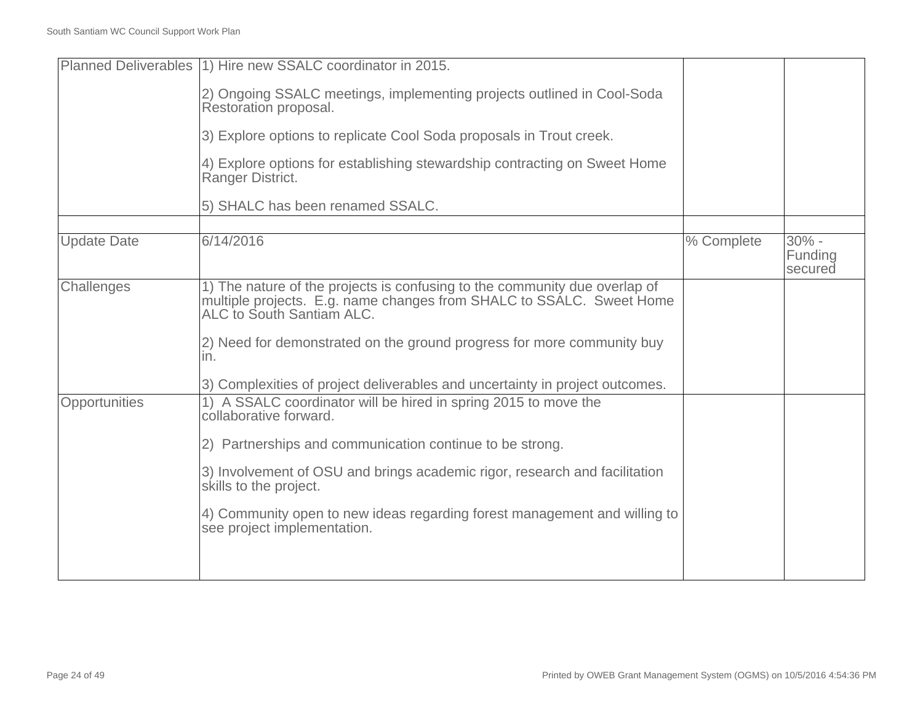|                    | Planned Deliverables (1) Hire new SSALC coordinator in 2015.                                                                                                                    |            |                                |
|--------------------|---------------------------------------------------------------------------------------------------------------------------------------------------------------------------------|------------|--------------------------------|
|                    | 2) Ongoing SSALC meetings, implementing projects outlined in Cool-Soda<br>Restoration proposal.                                                                                 |            |                                |
|                    | 3) Explore options to replicate Cool Soda proposals in Trout creek.                                                                                                             |            |                                |
|                    | 4) Explore options for establishing stewardship contracting on Sweet Home<br>Ranger District.                                                                                   |            |                                |
|                    | 5) SHALC has been renamed SSALC.                                                                                                                                                |            |                                |
|                    |                                                                                                                                                                                 |            |                                |
| <b>Update Date</b> | 6/14/2016                                                                                                                                                                       | % Complete | $30\%$ -<br>Funding<br>secured |
| Challenges         | 1) The nature of the projects is confusing to the community due overlap of<br>multiple projects. E.g. name changes from SHALC to SSALC. Sweet Home<br>ALC to South Santiam ALC. |            |                                |
|                    | 2) Need for demonstrated on the ground progress for more community buy<br>in.                                                                                                   |            |                                |
|                    | 3) Complexities of project deliverables and uncertainty in project outcomes.                                                                                                    |            |                                |
| Opportunities      | 1) A SSALC coordinator will be hired in spring 2015 to move the<br>collaborative forward.                                                                                       |            |                                |
|                    | 2) Partnerships and communication continue to be strong.                                                                                                                        |            |                                |
|                    | 3) Involvement of OSU and brings academic rigor, research and facilitation<br>skills to the project.                                                                            |            |                                |
|                    | 4) Community open to new ideas regarding forest management and willing to<br>see project implementation.                                                                        |            |                                |
|                    |                                                                                                                                                                                 |            |                                |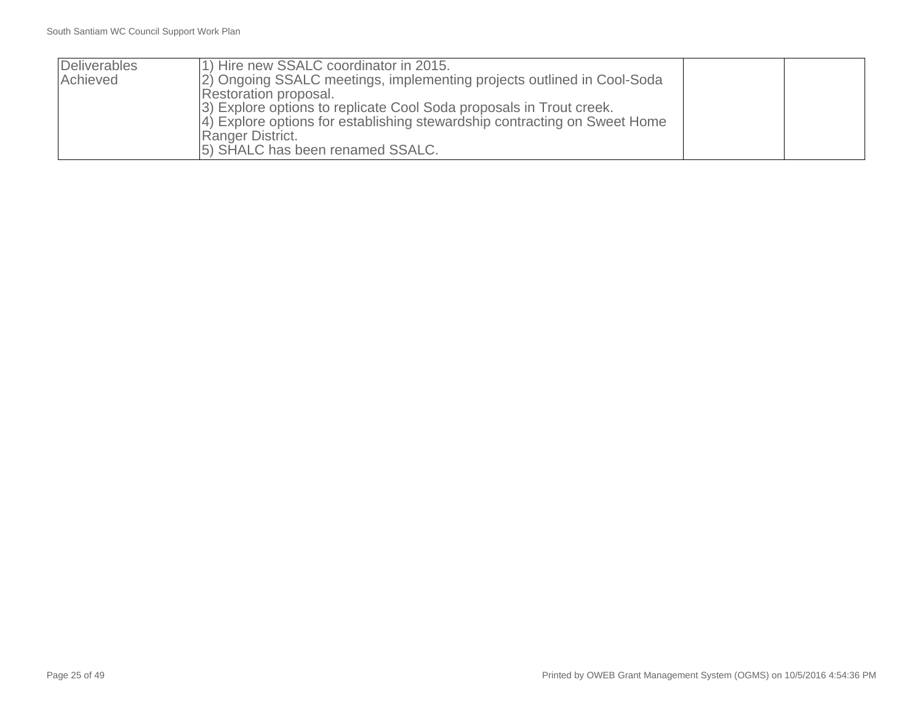| Deliverables | 1) Hire new SSALC coordinator in 2015.                                    |  |
|--------------|---------------------------------------------------------------------------|--|
| Achieved     | [2] Ongoing SSALC meetings, implementing projects outlined in Cool-Soda   |  |
|              | Restoration proposal.                                                     |  |
|              | 3) Explore options to replicate Cool Soda proposals in Trout creek.       |  |
|              | 4) Explore options for establishing stewardship contracting on Sweet Home |  |
|              | Ranger District.                                                          |  |
|              | [5] SHALC has been renamed SSALC.                                         |  |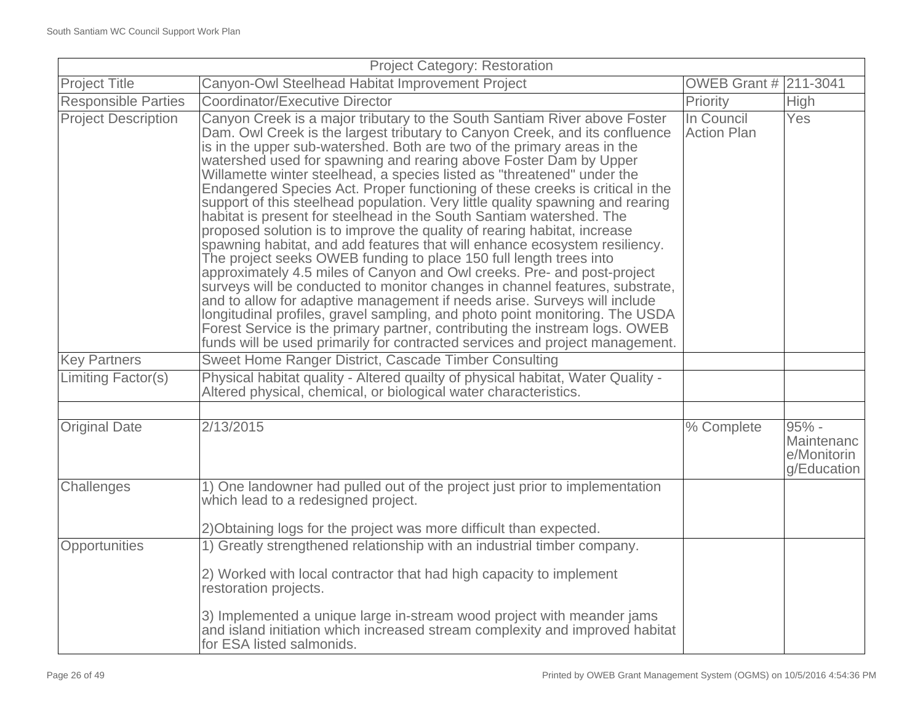| <b>Project Category: Restoration</b> |                                                                                                                                                                                                                                                                                                                                                                                                                                                                                                                                                                                                                                                                                                                                                                                                                                                                                                                                                                                                                                                                                                                                                                                                                                                                                                                                                       |                                  |                                                     |
|--------------------------------------|-------------------------------------------------------------------------------------------------------------------------------------------------------------------------------------------------------------------------------------------------------------------------------------------------------------------------------------------------------------------------------------------------------------------------------------------------------------------------------------------------------------------------------------------------------------------------------------------------------------------------------------------------------------------------------------------------------------------------------------------------------------------------------------------------------------------------------------------------------------------------------------------------------------------------------------------------------------------------------------------------------------------------------------------------------------------------------------------------------------------------------------------------------------------------------------------------------------------------------------------------------------------------------------------------------------------------------------------------------|----------------------------------|-----------------------------------------------------|
| <b>Project Title</b>                 | Canyon-Owl Steelhead Habitat Improvement Project                                                                                                                                                                                                                                                                                                                                                                                                                                                                                                                                                                                                                                                                                                                                                                                                                                                                                                                                                                                                                                                                                                                                                                                                                                                                                                      | <b>OWEB Grant # 211-3041</b>     |                                                     |
| <b>Responsible Parties</b>           | Coordinator/Executive Director                                                                                                                                                                                                                                                                                                                                                                                                                                                                                                                                                                                                                                                                                                                                                                                                                                                                                                                                                                                                                                                                                                                                                                                                                                                                                                                        | Priority                         | <b>High</b>                                         |
| <b>Project Description</b>           | Canyon Creek is a major tributary to the South Santiam River above Foster<br>Dam. Owl Creek is the largest tributary to Canyon Creek, and its confluence<br>is in the upper sub-watershed. Both are two of the primary areas in the<br>watershed used for spawning and rearing above Foster Dam by Upper<br>Willamette winter steelhead, a species listed as "threatened" under the<br>Endangered Species Act. Proper functioning of these creeks is critical in the<br>support of this steelhead population. Very little quality spawning and rearing<br>habitat is present for steelhead in the South Santiam watershed. The<br>proposed solution is to improve the quality of rearing habitat, increase<br>spawning habitat, and add features that will enhance ecosystem resiliency.<br>The project seeks OWEB funding to place 150 full length trees into<br>approximately 4.5 miles of Canyon and Owl creeks. Pre- and post-project<br>surveys will be conducted to monitor changes in channel features, substrate,<br>and to allow for adaptive management if needs arise. Surveys will include<br>longitudinal profiles, gravel sampling, and photo point monitoring. The USDA<br>Forest Service is the primary partner, contributing the instream logs. OWEB<br>funds will be used primarily for contracted services and project management. | In Council<br><b>Action Plan</b> | Yes                                                 |
| <b>Key Partners</b>                  | Sweet Home Ranger District, Cascade Timber Consulting                                                                                                                                                                                                                                                                                                                                                                                                                                                                                                                                                                                                                                                                                                                                                                                                                                                                                                                                                                                                                                                                                                                                                                                                                                                                                                 |                                  |                                                     |
| Limiting Factor(s)                   | Physical habitat quality - Altered quailty of physical habitat, Water Quality -<br>Altered physical, chemical, or biological water characteristics.                                                                                                                                                                                                                                                                                                                                                                                                                                                                                                                                                                                                                                                                                                                                                                                                                                                                                                                                                                                                                                                                                                                                                                                                   |                                  |                                                     |
|                                      |                                                                                                                                                                                                                                                                                                                                                                                                                                                                                                                                                                                                                                                                                                                                                                                                                                                                                                                                                                                                                                                                                                                                                                                                                                                                                                                                                       |                                  |                                                     |
| <b>Original Date</b>                 | 2/13/2015                                                                                                                                                                                                                                                                                                                                                                                                                                                                                                                                                                                                                                                                                                                                                                                                                                                                                                                                                                                                                                                                                                                                                                                                                                                                                                                                             | % Complete                       | $95% -$<br>Maintenanc<br>e/Monitorin<br>g/Education |
| Challenges                           | 1) One landowner had pulled out of the project just prior to implementation<br>which lead to a redesigned project.<br>2) Obtaining logs for the project was more difficult than expected.                                                                                                                                                                                                                                                                                                                                                                                                                                                                                                                                                                                                                                                                                                                                                                                                                                                                                                                                                                                                                                                                                                                                                             |                                  |                                                     |
| Opportunities                        | 1) Greatly strengthened relationship with an industrial timber company.                                                                                                                                                                                                                                                                                                                                                                                                                                                                                                                                                                                                                                                                                                                                                                                                                                                                                                                                                                                                                                                                                                                                                                                                                                                                               |                                  |                                                     |
|                                      | 2) Worked with local contractor that had high capacity to implement<br>restoration projects.                                                                                                                                                                                                                                                                                                                                                                                                                                                                                                                                                                                                                                                                                                                                                                                                                                                                                                                                                                                                                                                                                                                                                                                                                                                          |                                  |                                                     |
|                                      | 3) Implemented a unique large in-stream wood project with meander jams<br>and island initiation which increased stream complexity and improved habitat<br>for ESA listed salmonids.                                                                                                                                                                                                                                                                                                                                                                                                                                                                                                                                                                                                                                                                                                                                                                                                                                                                                                                                                                                                                                                                                                                                                                   |                                  |                                                     |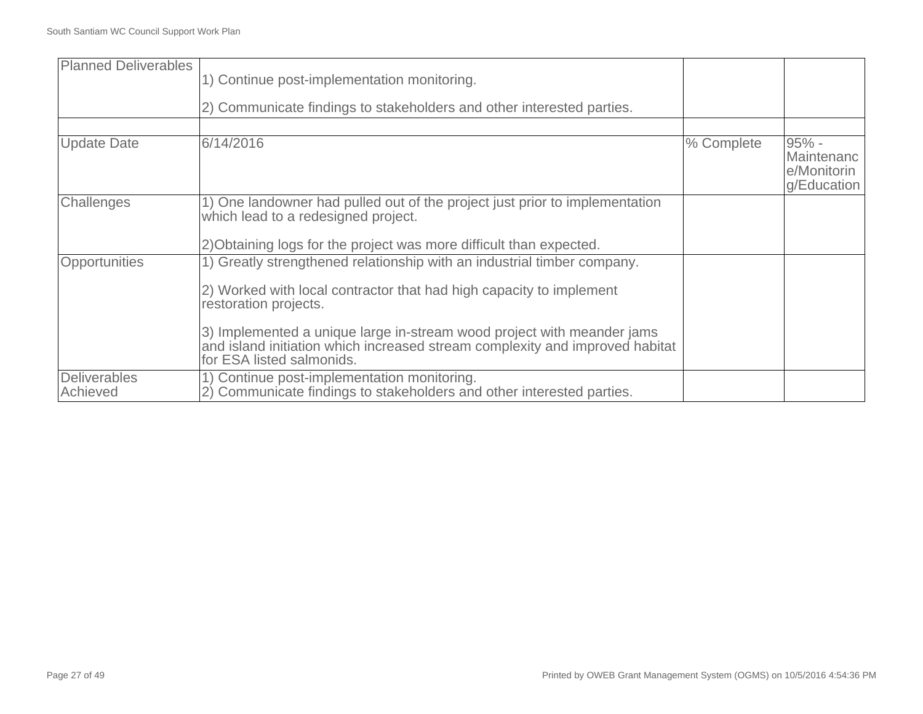| <b>Planned Deliverables</b>     | 1) Continue post-implementation monitoring.<br>2) Communicate findings to stakeholders and other interested parties.                                                                                                                                                                                                                                           |            |                                                     |
|---------------------------------|----------------------------------------------------------------------------------------------------------------------------------------------------------------------------------------------------------------------------------------------------------------------------------------------------------------------------------------------------------------|------------|-----------------------------------------------------|
| <b>Update Date</b>              | 6/14/2016                                                                                                                                                                                                                                                                                                                                                      | % Complete | $95% -$<br>Maintenanc<br>e/Monitorin<br>g/Education |
| Challenges                      | 1) One landowner had pulled out of the project just prior to implementation<br>which lead to a redesigned project.<br>2) Obtaining logs for the project was more difficult than expected.                                                                                                                                                                      |            |                                                     |
| <b>Opportunities</b>            | 1) Greatly strengthened relationship with an industrial timber company.<br>2) Worked with local contractor that had high capacity to implement<br>restoration projects.<br>3) Implemented a unique large in-stream wood project with meander jams<br>and island initiation which increased stream complexity and improved habitat<br>for ESA listed salmonids. |            |                                                     |
| <b>Deliverables</b><br>Achieved | 1) Continue post-implementation monitoring.<br>2) Communicate findings to stakeholders and other interested parties.                                                                                                                                                                                                                                           |            |                                                     |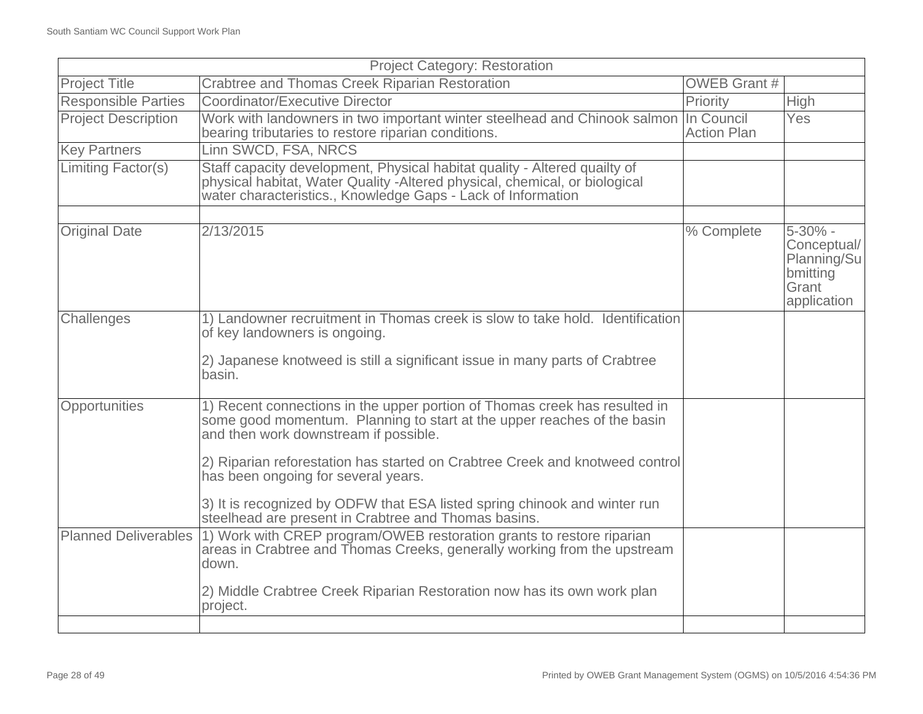| <b>Project Category: Restoration</b> |                                                                                                                                                                                                                                                                                                                                                                                                                                                            |                     |                                                                                |
|--------------------------------------|------------------------------------------------------------------------------------------------------------------------------------------------------------------------------------------------------------------------------------------------------------------------------------------------------------------------------------------------------------------------------------------------------------------------------------------------------------|---------------------|--------------------------------------------------------------------------------|
| <b>Project Title</b>                 | <b>Crabtree and Thomas Creek Riparian Restoration</b>                                                                                                                                                                                                                                                                                                                                                                                                      | <b>OWEB Grant #</b> |                                                                                |
| <b>Responsible Parties</b>           | <b>Coordinator/Executive Director</b>                                                                                                                                                                                                                                                                                                                                                                                                                      | Priority            | High                                                                           |
| <b>Project Description</b>           | Work with landowners in two important winter steelhead and Chinook salmon In Council<br>bearing tributaries to restore riparian conditions.                                                                                                                                                                                                                                                                                                                | <b>Action Plan</b>  | <b>Yes</b>                                                                     |
| <b>Key Partners</b>                  | Linn SWCD, FSA, NRCS                                                                                                                                                                                                                                                                                                                                                                                                                                       |                     |                                                                                |
| Limiting Factor(s)                   | Staff capacity development, Physical habitat quality - Altered quailty of<br>physical habitat, Water Quality - Altered physical, chemical, or biological<br>water characteristics., Knowledge Gaps - Lack of Information                                                                                                                                                                                                                                   |                     |                                                                                |
| <b>Original Date</b>                 | 2/13/2015                                                                                                                                                                                                                                                                                                                                                                                                                                                  | % Complete          | $5 - 30\%$ -<br>Conceptual/<br>Planning/Su<br>bmitting<br>Grant<br>application |
| Challenges                           | 1) Landowner recruitment in Thomas creek is slow to take hold. Identification<br>of key landowners is ongoing.<br>2) Japanese knotweed is still a significant issue in many parts of Crabtree<br>basin.                                                                                                                                                                                                                                                    |                     |                                                                                |
| Opportunities                        | 1) Recent connections in the upper portion of Thomas creek has resulted in<br>some good momentum. Planning to start at the upper reaches of the basin<br>and then work downstream if possible.<br>2) Riparian reforestation has started on Crabtree Creek and knotweed control<br>has been ongoing for several years.<br>3) It is recognized by ODFW that ESA listed spring chinook and winter run<br>steelhead are present in Crabtree and Thomas basins. |                     |                                                                                |
|                                      | Planned Deliverables (1) Work with CREP program/OWEB restoration grants to restore riparian<br>areas in Crabtree and Thomas Creeks, generally working from the upstream<br>down.<br>2) Middle Crabtree Creek Riparian Restoration now has its own work plan<br>project.                                                                                                                                                                                    |                     |                                                                                |
|                                      |                                                                                                                                                                                                                                                                                                                                                                                                                                                            |                     |                                                                                |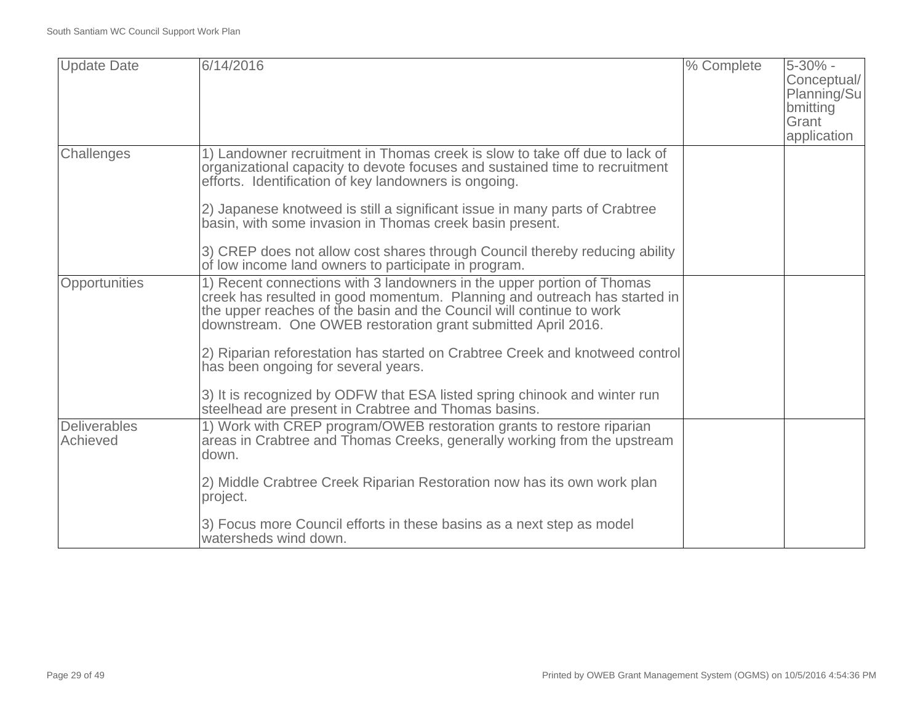| <b>Update Date</b>              | 6/14/2016                                                                                                                                                                                                                                                                                                                                                      | % Complete | 5-30% -<br>Conceptual/<br>Planning/Su<br>bmitting<br>Grant<br>application |
|---------------------------------|----------------------------------------------------------------------------------------------------------------------------------------------------------------------------------------------------------------------------------------------------------------------------------------------------------------------------------------------------------------|------------|---------------------------------------------------------------------------|
| Challenges                      | 1) Landowner recruitment in Thomas creek is slow to take off due to lack of<br>organizational capacity to devote focuses and sustained time to recruitment<br>efforts. Identification of key landowners is ongoing.<br>2) Japanese knotweed is still a significant issue in many parts of Crabtree<br>basin, with some invasion in Thomas creek basin present. |            |                                                                           |
|                                 | 3) CREP does not allow cost shares through Council thereby reducing ability<br>of low income land owners to participate in program.                                                                                                                                                                                                                            |            |                                                                           |
| Opportunities                   | 1) Recent connections with 3 landowners in the upper portion of Thomas<br>creek has resulted in good momentum. Planning and outreach has started in<br>the upper reaches of the basin and the Council will continue to work<br>downstream. One OWEB restoration grant submitted April 2016.                                                                    |            |                                                                           |
|                                 | 2) Riparian reforestation has started on Crabtree Creek and knotweed control<br>has been ongoing for several years.                                                                                                                                                                                                                                            |            |                                                                           |
|                                 | 3) It is recognized by ODFW that ESA listed spring chinook and winter run<br>steelhead are present in Crabtree and Thomas basins.                                                                                                                                                                                                                              |            |                                                                           |
| <b>Deliverables</b><br>Achieved | 1) Work with CREP program/OWEB restoration grants to restore riparian<br>areas in Crabtree and Thomas Creeks, generally working from the upstream<br>down.                                                                                                                                                                                                     |            |                                                                           |
|                                 | 2) Middle Crabtree Creek Riparian Restoration now has its own work plan<br>project.                                                                                                                                                                                                                                                                            |            |                                                                           |
|                                 | 3) Focus more Council efforts in these basins as a next step as model<br>watersheds wind down.                                                                                                                                                                                                                                                                 |            |                                                                           |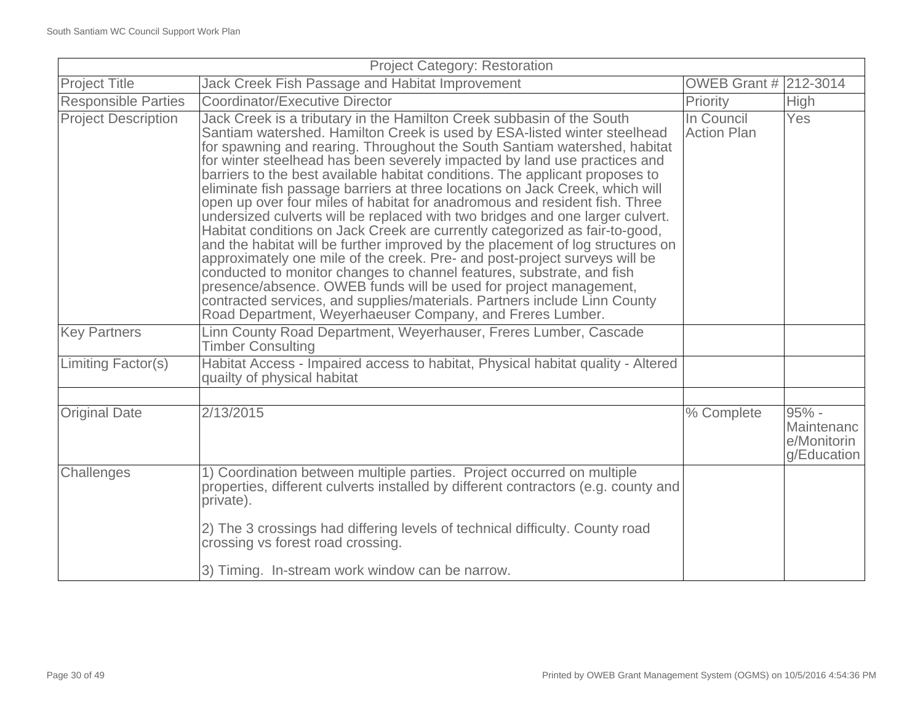| <b>Project Title</b><br>OWEB Grant # 212-3014<br>Jack Creek Fish Passage and Habitat Improvement<br><b>Responsible Parties</b><br><b>Coordinator/Executive Director</b><br>Priority<br><b>High</b><br>Jack Creek is a tributary in the Hamilton Creek subbasin of the South<br><b>Project Description</b><br>In Council<br>Yes<br>Santiam watershed. Hamilton Creek is used by ESA-listed winter steelhead<br><b>Action Plan</b><br>for spawning and rearing. Throughout the South Santiam watershed, habitat<br>for winter steelhead has been severely impacted by land use practices and<br>barriers to the best available habitat conditions. The applicant proposes to<br>eliminate fish passage barriers at three locations on Jack Creek, which will<br>open up over four miles of habitat for anadromous and resident fish. Three<br>undersized culverts will be replaced with two bridges and one larger culvert.<br>Habitat conditions on Jack Creek are currently categorized as fair-to-good,<br>and the habitat will be further improved by the placement of log structures on<br>approximately one mile of the creek. Pre- and post-project surveys will be<br>conducted to monitor changes to channel features, substrate, and fish<br>presence/absence. OWEB funds will be used for project management,<br>contracted services, and supplies/materials. Partners include Linn County<br>Road Department, Weyerhaeuser Company, and Freres Lumber.<br><b>Key Partners</b><br>Linn County Road Department, Weyerhauser, Freres Lumber, Cascade<br><b>Timber Consulting</b><br>Limiting Factor(s)<br>Habitat Access - Impaired access to habitat, Physical habitat quality - Altered<br>quailty of physical habitat<br><b>Original Date</b><br>2/13/2015<br>$95% -$<br>% Complete<br>e/Monitorin<br>1) Coordination between multiple parties. Project occurred on multiple<br>Challenges<br>properties, different culverts installed by different contractors (e.g. county and<br>private). | <b>Project Category: Restoration</b> |                                                                              |  |                           |
|---------------------------------------------------------------------------------------------------------------------------------------------------------------------------------------------------------------------------------------------------------------------------------------------------------------------------------------------------------------------------------------------------------------------------------------------------------------------------------------------------------------------------------------------------------------------------------------------------------------------------------------------------------------------------------------------------------------------------------------------------------------------------------------------------------------------------------------------------------------------------------------------------------------------------------------------------------------------------------------------------------------------------------------------------------------------------------------------------------------------------------------------------------------------------------------------------------------------------------------------------------------------------------------------------------------------------------------------------------------------------------------------------------------------------------------------------------------------------------------------------------------------------------------------------------------------------------------------------------------------------------------------------------------------------------------------------------------------------------------------------------------------------------------------------------------------------------------------------------------------------------------------------------------------------------------------------------------------------------------------------------|--------------------------------------|------------------------------------------------------------------------------|--|---------------------------|
|                                                                                                                                                                                                                                                                                                                                                                                                                                                                                                                                                                                                                                                                                                                                                                                                                                                                                                                                                                                                                                                                                                                                                                                                                                                                                                                                                                                                                                                                                                                                                                                                                                                                                                                                                                                                                                                                                                                                                                                                         |                                      |                                                                              |  |                           |
|                                                                                                                                                                                                                                                                                                                                                                                                                                                                                                                                                                                                                                                                                                                                                                                                                                                                                                                                                                                                                                                                                                                                                                                                                                                                                                                                                                                                                                                                                                                                                                                                                                                                                                                                                                                                                                                                                                                                                                                                         |                                      |                                                                              |  |                           |
|                                                                                                                                                                                                                                                                                                                                                                                                                                                                                                                                                                                                                                                                                                                                                                                                                                                                                                                                                                                                                                                                                                                                                                                                                                                                                                                                                                                                                                                                                                                                                                                                                                                                                                                                                                                                                                                                                                                                                                                                         |                                      |                                                                              |  |                           |
|                                                                                                                                                                                                                                                                                                                                                                                                                                                                                                                                                                                                                                                                                                                                                                                                                                                                                                                                                                                                                                                                                                                                                                                                                                                                                                                                                                                                                                                                                                                                                                                                                                                                                                                                                                                                                                                                                                                                                                                                         |                                      |                                                                              |  |                           |
|                                                                                                                                                                                                                                                                                                                                                                                                                                                                                                                                                                                                                                                                                                                                                                                                                                                                                                                                                                                                                                                                                                                                                                                                                                                                                                                                                                                                                                                                                                                                                                                                                                                                                                                                                                                                                                                                                                                                                                                                         |                                      |                                                                              |  |                           |
|                                                                                                                                                                                                                                                                                                                                                                                                                                                                                                                                                                                                                                                                                                                                                                                                                                                                                                                                                                                                                                                                                                                                                                                                                                                                                                                                                                                                                                                                                                                                                                                                                                                                                                                                                                                                                                                                                                                                                                                                         |                                      |                                                                              |  |                           |
|                                                                                                                                                                                                                                                                                                                                                                                                                                                                                                                                                                                                                                                                                                                                                                                                                                                                                                                                                                                                                                                                                                                                                                                                                                                                                                                                                                                                                                                                                                                                                                                                                                                                                                                                                                                                                                                                                                                                                                                                         |                                      |                                                                              |  | Maintenanc<br>g/Education |
|                                                                                                                                                                                                                                                                                                                                                                                                                                                                                                                                                                                                                                                                                                                                                                                                                                                                                                                                                                                                                                                                                                                                                                                                                                                                                                                                                                                                                                                                                                                                                                                                                                                                                                                                                                                                                                                                                                                                                                                                         |                                      | 2) The 3 crossings had differing levels of technical difficulty. County road |  |                           |
| crossing vs forest road crossing.<br>3) Timing. In-stream work window can be narrow.                                                                                                                                                                                                                                                                                                                                                                                                                                                                                                                                                                                                                                                                                                                                                                                                                                                                                                                                                                                                                                                                                                                                                                                                                                                                                                                                                                                                                                                                                                                                                                                                                                                                                                                                                                                                                                                                                                                    |                                      |                                                                              |  |                           |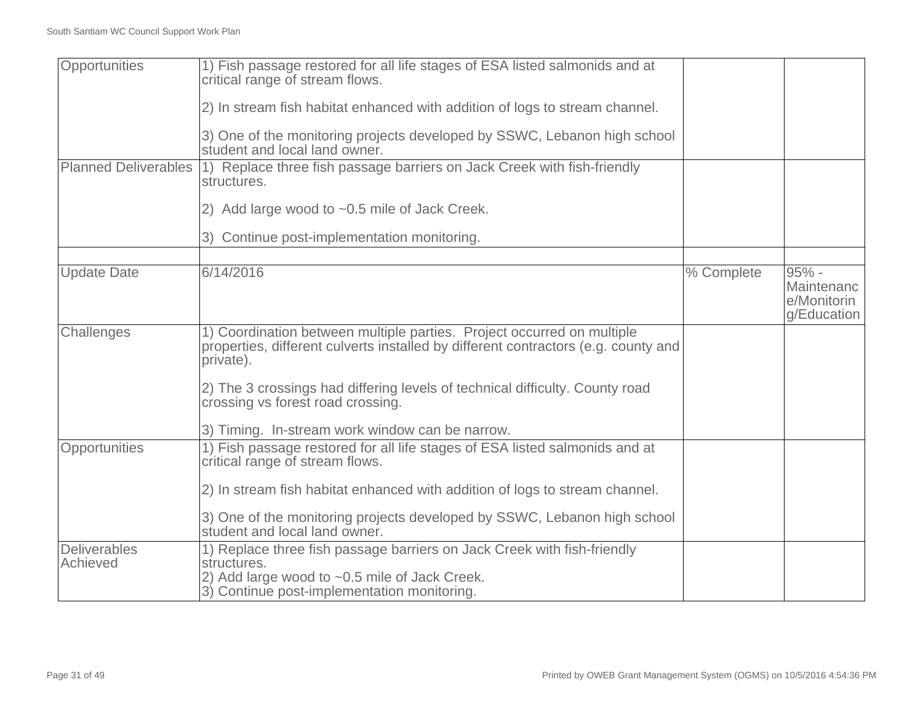| Opportunities               | 1) Fish passage restored for all life stages of ESA listed salmonids and at<br>critical range of stream flows.                                                            |            |                                                     |
|-----------------------------|---------------------------------------------------------------------------------------------------------------------------------------------------------------------------|------------|-----------------------------------------------------|
|                             | 2) In stream fish habitat enhanced with addition of logs to stream channel.                                                                                               |            |                                                     |
|                             | 3) One of the monitoring projects developed by SSWC, Lebanon high school<br>student and local land owner.                                                                 |            |                                                     |
| <b>Planned Deliverables</b> | 1) Replace three fish passage barriers on Jack Creek with fish-friendly<br>structures.                                                                                    |            |                                                     |
|                             | 2) Add large wood to ~0.5 mile of Jack Creek.                                                                                                                             |            |                                                     |
|                             | 3) Continue post-implementation monitoring.                                                                                                                               |            |                                                     |
|                             |                                                                                                                                                                           |            |                                                     |
| <b>Update Date</b>          | 6/14/2016                                                                                                                                                                 | % Complete | $95% -$<br>Maintenanc<br>e/Monitorin<br>g/Education |
| Challenges                  | 1) Coordination between multiple parties. Project occurred on multiple<br>properties, different culverts installed by different contractors (e.g. county and<br>private). |            |                                                     |
|                             | 2) The 3 crossings had differing levels of technical difficulty. County road<br>crossing vs forest road crossing.                                                         |            |                                                     |
|                             | 3) Timing. In-stream work window can be narrow.                                                                                                                           |            |                                                     |
| Opportunities               | 1) Fish passage restored for all life stages of ESA listed salmonids and at<br>critical range of stream flows.                                                            |            |                                                     |
|                             | 2) In stream fish habitat enhanced with addition of logs to stream channel.                                                                                               |            |                                                     |
|                             | 3) One of the monitoring projects developed by SSWC, Lebanon high school<br>student and local land owner.                                                                 |            |                                                     |
| <b>Deliverables</b>         | 1) Replace three fish passage barriers on Jack Creek with fish-friendly                                                                                                   |            |                                                     |
| Achieved                    | structures.                                                                                                                                                               |            |                                                     |
|                             | 2) Add large wood to ~0.5 mile of Jack Creek.                                                                                                                             |            |                                                     |
|                             | 3) Continue post-implementation monitoring.                                                                                                                               |            |                                                     |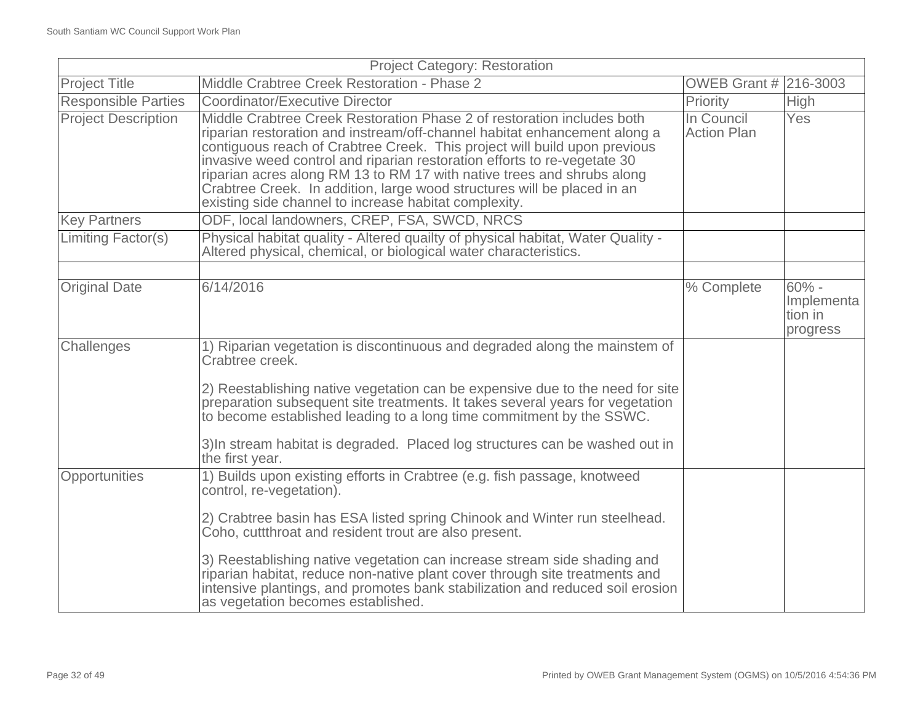|                            | <b>Project Category: Restoration</b>                                                                                                                                                                                                                                                                                                                                                                                                                                                                                       |                                  |                                               |
|----------------------------|----------------------------------------------------------------------------------------------------------------------------------------------------------------------------------------------------------------------------------------------------------------------------------------------------------------------------------------------------------------------------------------------------------------------------------------------------------------------------------------------------------------------------|----------------------------------|-----------------------------------------------|
| <b>Project Title</b>       | Middle Crabtree Creek Restoration - Phase 2                                                                                                                                                                                                                                                                                                                                                                                                                                                                                | <b>OWEB Grant # 216-3003</b>     |                                               |
| <b>Responsible Parties</b> | Coordinator/Executive Director                                                                                                                                                                                                                                                                                                                                                                                                                                                                                             | Priority                         | <b>High</b>                                   |
| <b>Project Description</b> | Middle Crabtree Creek Restoration Phase 2 of restoration includes both<br>riparian restoration and instream/off-channel habitat enhancement along a<br>contiguous reach of Crabtree Creek. This project will build upon previous<br>invasive weed control and riparian restoration efforts to re-vegetate 30<br>riparian acres along RM 13 to RM 17 with native trees and shrubs along<br>Crabtree Creek. In addition, large wood structures will be placed in an<br>existing side channel to increase habitat complexity. | In Council<br><b>Action Plan</b> | Yes                                           |
| <b>Key Partners</b>        | ODF, local landowners, CREP, FSA, SWCD, NRCS                                                                                                                                                                                                                                                                                                                                                                                                                                                                               |                                  |                                               |
| <b>Limiting Factor(s)</b>  | Physical habitat quality - Altered quailty of physical habitat, Water Quality -<br>Altered physical, chemical, or biological water characteristics.                                                                                                                                                                                                                                                                                                                                                                        |                                  |                                               |
|                            |                                                                                                                                                                                                                                                                                                                                                                                                                                                                                                                            |                                  |                                               |
| <b>Original Date</b>       | 6/14/2016                                                                                                                                                                                                                                                                                                                                                                                                                                                                                                                  | % Complete                       | $60\%$ -<br>Implementa<br>tion in<br>progress |
| Challenges                 | 1) Riparian vegetation is discontinuous and degraded along the mainstem of<br>Crabtree creek.                                                                                                                                                                                                                                                                                                                                                                                                                              |                                  |                                               |
|                            | 2) Reestablishing native vegetation can be expensive due to the need for site<br>preparation subsequent site treatments. It takes several years for vegetation<br>to become established leading to a long time commitment by the SSWC.                                                                                                                                                                                                                                                                                     |                                  |                                               |
|                            | 3) In stream habitat is degraded. Placed log structures can be washed out in<br>the first year.                                                                                                                                                                                                                                                                                                                                                                                                                            |                                  |                                               |
| Opportunities              | 1) Builds upon existing efforts in Crabtree (e.g. fish passage, knotweed<br>control, re-vegetation).                                                                                                                                                                                                                                                                                                                                                                                                                       |                                  |                                               |
|                            | 2) Crabtree basin has ESA listed spring Chinook and Winter run steelhead.<br>Coho, cuttthroat and resident trout are also present.                                                                                                                                                                                                                                                                                                                                                                                         |                                  |                                               |
|                            | 3) Reestablishing native vegetation can increase stream side shading and<br>riparian habitat, reduce non-native plant cover through site treatments and<br>intensive plantings, and promotes bank stabilization and reduced soil erosion<br>as vegetation becomes established.                                                                                                                                                                                                                                             |                                  |                                               |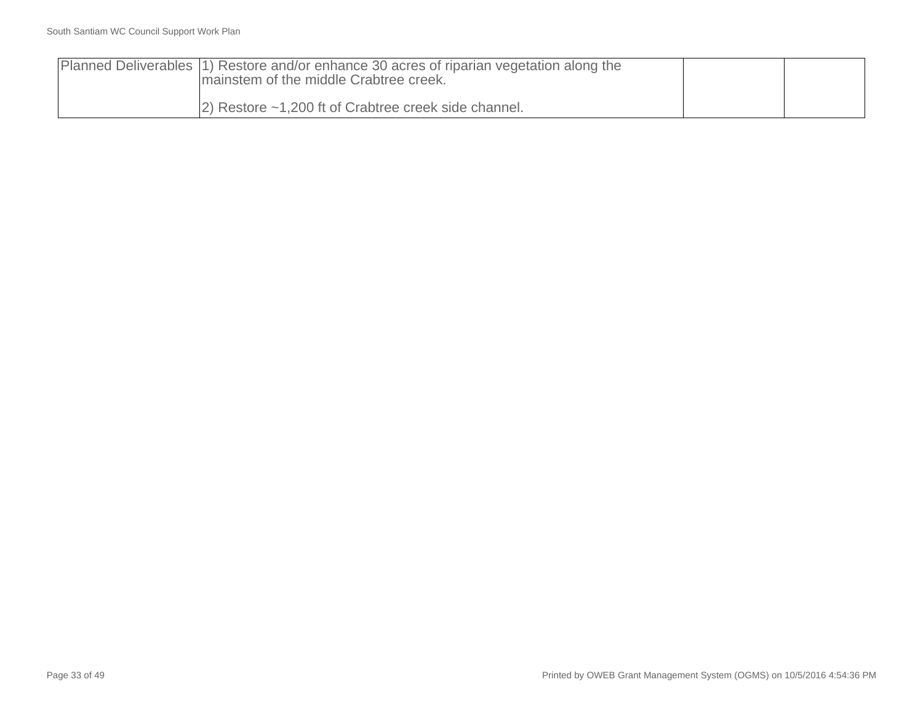| Planned Deliverables (1) Restore and/or enhance 30 acres of riparian vegetation along the<br>Imainstem of the middle Crabtree creek. |  |
|--------------------------------------------------------------------------------------------------------------------------------------|--|
| $ 2)$ Restore $\sim$ 1,200 ft of Crabtree creek side channel.                                                                        |  |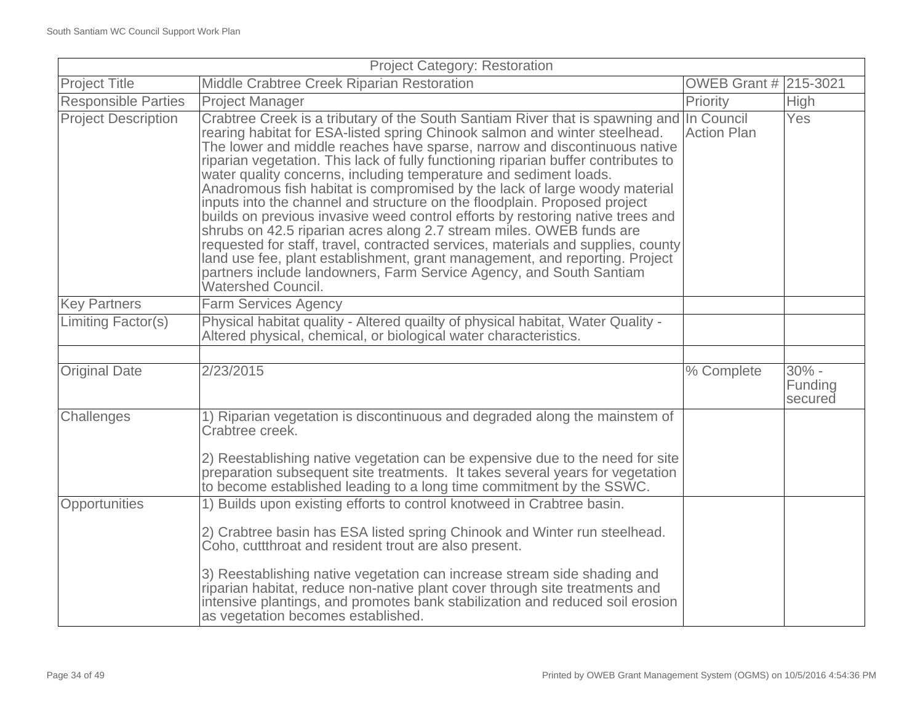| <b>Project Category: Restoration</b> |                                                                                                                                                                                                                                                                                                                                                                                                                                                                                                                                                                                                                                                                                                                                                                                                                                                                                                                                                                                                            |                       |                               |
|--------------------------------------|------------------------------------------------------------------------------------------------------------------------------------------------------------------------------------------------------------------------------------------------------------------------------------------------------------------------------------------------------------------------------------------------------------------------------------------------------------------------------------------------------------------------------------------------------------------------------------------------------------------------------------------------------------------------------------------------------------------------------------------------------------------------------------------------------------------------------------------------------------------------------------------------------------------------------------------------------------------------------------------------------------|-----------------------|-------------------------------|
| <b>Project Title</b>                 | Middle Crabtree Creek Riparian Restoration                                                                                                                                                                                                                                                                                                                                                                                                                                                                                                                                                                                                                                                                                                                                                                                                                                                                                                                                                                 | OWEB Grant # 215-3021 |                               |
| <b>Responsible Parties</b>           | <b>Project Manager</b>                                                                                                                                                                                                                                                                                                                                                                                                                                                                                                                                                                                                                                                                                                                                                                                                                                                                                                                                                                                     | Priority              | <b>High</b>                   |
| <b>Project Description</b>           | Crabtree Creek is a tributary of the South Santiam River that is spawning and In Council<br>rearing habitat for ESA-listed spring Chinook salmon and winter steelhead.<br>The lower and middle reaches have sparse, narrow and discontinuous native<br>riparian vegetation. This lack of fully functioning riparian buffer contributes to<br>water quality concerns, including temperature and sediment loads.<br>Anadromous fish habitat is compromised by the lack of large woody material<br>inputs into the channel and structure on the floodplain. Proposed project<br>builds on previous invasive weed control efforts by restoring native trees and<br>shrubs on 42.5 riparian acres along 2.7 stream miles. OWEB funds are<br>requested for staff, travel, contracted services, materials and supplies, county<br>land use fee, plant establishment, grant management, and reporting. Project<br>partners include landowners, Farm Service Agency, and South Santiam<br><b>Watershed Council.</b> | <b>Action Plan</b>    | Yes                           |
| <b>Key Partners</b>                  | <b>Farm Services Agency</b>                                                                                                                                                                                                                                                                                                                                                                                                                                                                                                                                                                                                                                                                                                                                                                                                                                                                                                                                                                                |                       |                               |
| Limiting Factor(s)                   | Physical habitat quality - Altered quailty of physical habitat, Water Quality -<br>Altered physical, chemical, or biological water characteristics.                                                                                                                                                                                                                                                                                                                                                                                                                                                                                                                                                                                                                                                                                                                                                                                                                                                        |                       |                               |
|                                      |                                                                                                                                                                                                                                                                                                                                                                                                                                                                                                                                                                                                                                                                                                                                                                                                                                                                                                                                                                                                            |                       |                               |
| <b>Original Date</b>                 | 2/23/2015                                                                                                                                                                                                                                                                                                                                                                                                                                                                                                                                                                                                                                                                                                                                                                                                                                                                                                                                                                                                  | % Complete            | $30% -$<br>Funding<br>secured |
| Challenges                           | 1) Riparian vegetation is discontinuous and degraded along the mainstem of<br>Crabtree creek.<br>2) Reestablishing native vegetation can be expensive due to the need for site<br>preparation subsequent site treatments. It takes several years for vegetation<br>to become established leading to a long time commitment by the SSWC.                                                                                                                                                                                                                                                                                                                                                                                                                                                                                                                                                                                                                                                                    |                       |                               |
| <b>Opportunities</b>                 | 1) Builds upon existing efforts to control knotweed in Crabtree basin.                                                                                                                                                                                                                                                                                                                                                                                                                                                                                                                                                                                                                                                                                                                                                                                                                                                                                                                                     |                       |                               |
|                                      | 2) Crabtree basin has ESA listed spring Chinook and Winter run steelhead.<br>Coho, cuttthroat and resident trout are also present.<br>3) Reestablishing native vegetation can increase stream side shading and<br>riparian habitat, reduce non-native plant cover through site treatments and<br>intensive plantings, and promotes bank stabilization and reduced soil erosion<br>as vegetation becomes established.                                                                                                                                                                                                                                                                                                                                                                                                                                                                                                                                                                                       |                       |                               |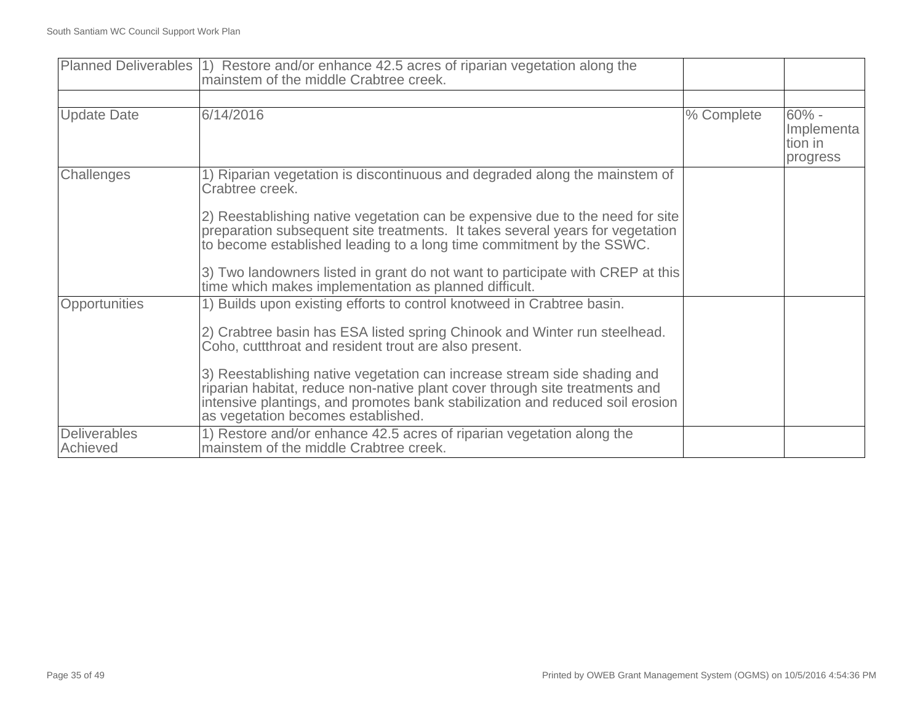|                                 | Planned Deliverables (1) Restore and/or enhance 42.5 acres of riparian vegetation along the<br>mainstem of the middle Crabtree creek.                                                                                                                                          |            |                                              |
|---------------------------------|--------------------------------------------------------------------------------------------------------------------------------------------------------------------------------------------------------------------------------------------------------------------------------|------------|----------------------------------------------|
|                                 |                                                                                                                                                                                                                                                                                |            |                                              |
| <b>Update Date</b>              | 6/14/2016                                                                                                                                                                                                                                                                      | % Complete | $60% -$<br>Implementa<br>tion in<br>progress |
| Challenges                      | 1) Riparian vegetation is discontinuous and degraded along the mainstem of<br>Crabtree creek.                                                                                                                                                                                  |            |                                              |
|                                 | 2) Reestablishing native vegetation can be expensive due to the need for site<br>preparation subsequent site treatments. It takes several years for vegetation<br>to become established leading to a long time commitment by the SSWC.                                         |            |                                              |
|                                 | 3) Two landowners listed in grant do not want to participate with CREP at this<br>time which makes implementation as planned difficult.                                                                                                                                        |            |                                              |
| Opportunities                   | 1) Builds upon existing efforts to control knotweed in Crabtree basin.                                                                                                                                                                                                         |            |                                              |
|                                 | 2) Crabtree basin has ESA listed spring Chinook and Winter run steelhead.<br>Coho, cuttthroat and resident trout are also present.                                                                                                                                             |            |                                              |
|                                 | 3) Reestablishing native vegetation can increase stream side shading and<br>riparian habitat, reduce non-native plant cover through site treatments and<br>intensive plantings, and promotes bank stabilization and reduced soil erosion<br>as vegetation becomes established. |            |                                              |
| <b>Deliverables</b><br>Achieved | 1) Restore and/or enhance 42.5 acres of riparian vegetation along the<br>mainstem of the middle Crabtree creek.                                                                                                                                                                |            |                                              |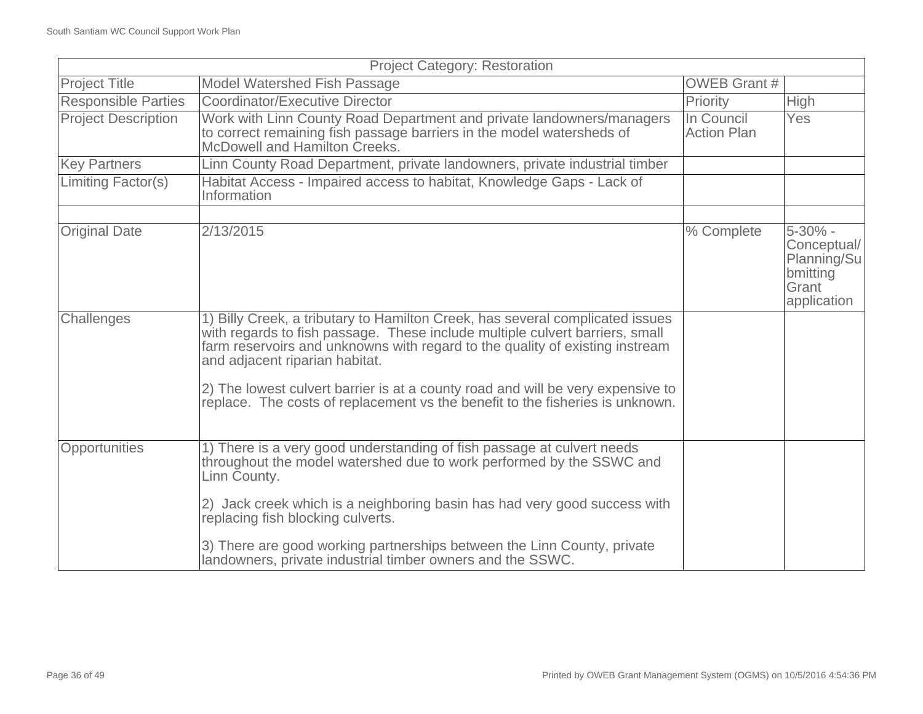| <b>Project Category: Restoration</b> |                                                                                                                                                                                                                                                                                 |                                  |                                                                                |
|--------------------------------------|---------------------------------------------------------------------------------------------------------------------------------------------------------------------------------------------------------------------------------------------------------------------------------|----------------------------------|--------------------------------------------------------------------------------|
| <b>Project Title</b>                 | Model Watershed Fish Passage                                                                                                                                                                                                                                                    | <b>OWEB Grant #</b>              |                                                                                |
| <b>Responsible Parties</b>           | <b>Coordinator/Executive Director</b>                                                                                                                                                                                                                                           | Priority                         | <b>High</b>                                                                    |
| <b>Project Description</b>           | Work with Linn County Road Department and private landowners/managers<br>to correct remaining fish passage barriers in the model watersheds of<br>McDowell and Hamilton Creeks.                                                                                                 | In Council<br><b>Action Plan</b> | <b>Yes</b>                                                                     |
| <b>Key Partners</b>                  | Linn County Road Department, private landowners, private industrial timber                                                                                                                                                                                                      |                                  |                                                                                |
| Limiting Factor(s)                   | Habitat Access - Impaired access to habitat, Knowledge Gaps - Lack of<br>Information                                                                                                                                                                                            |                                  |                                                                                |
|                                      |                                                                                                                                                                                                                                                                                 |                                  |                                                                                |
| <b>Original Date</b>                 | 2/13/2015                                                                                                                                                                                                                                                                       | % Complete                       | $5 - 30\%$ -<br>Conceptual/<br>Planning/Su<br>bmitting<br>Grant<br>application |
| Challenges                           | 1) Billy Creek, a tributary to Hamilton Creek, has several complicated issues<br>with regards to fish passage. These include multiple culvert barriers, small<br>farm reservoirs and unknowns with regard to the quality of existing instream<br>and adjacent riparian habitat. |                                  |                                                                                |
|                                      | 2) The lowest culvert barrier is at a county road and will be very expensive to<br>replace. The costs of replacement vs the benefit to the fisheries is unknown.                                                                                                                |                                  |                                                                                |
| Opportunities                        | 1) There is a very good understanding of fish passage at culvert needs<br>throughout the model watershed due to work performed by the SSWC and<br>Linn County.                                                                                                                  |                                  |                                                                                |
|                                      | 2) Jack creek which is a neighboring basin has had very good success with<br>replacing fish blocking culverts.                                                                                                                                                                  |                                  |                                                                                |
|                                      | 3) There are good working partnerships between the Linn County, private<br>landowners, private industrial timber owners and the SSWC.                                                                                                                                           |                                  |                                                                                |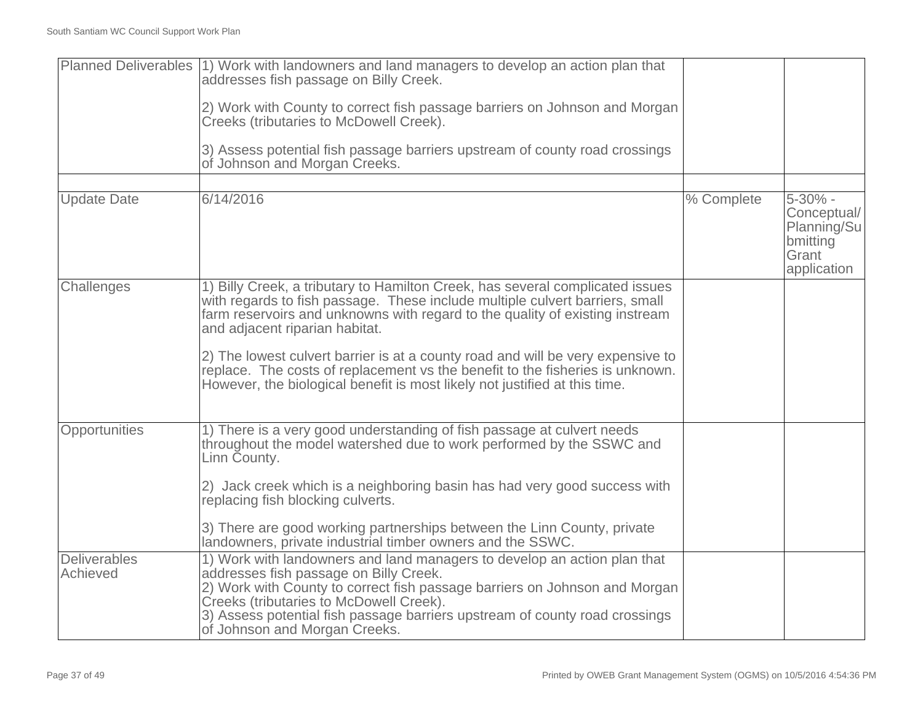|                                 | Planned Deliverables (1) Work with landowners and land managers to develop an action plan that<br>addresses fish passage on Billy Creek.                                                                                                                                                                                                                    |            |                                                                                |
|---------------------------------|-------------------------------------------------------------------------------------------------------------------------------------------------------------------------------------------------------------------------------------------------------------------------------------------------------------------------------------------------------------|------------|--------------------------------------------------------------------------------|
|                                 | 2) Work with County to correct fish passage barriers on Johnson and Morgan<br>Creeks (tributaries to McDowell Creek).                                                                                                                                                                                                                                       |            |                                                                                |
|                                 | 3) Assess potential fish passage barriers upstream of county road crossings<br>of Johnson and Morgan Creeks.                                                                                                                                                                                                                                                |            |                                                                                |
|                                 |                                                                                                                                                                                                                                                                                                                                                             |            |                                                                                |
| <b>Update Date</b>              | 6/14/2016                                                                                                                                                                                                                                                                                                                                                   | % Complete | $5 - 30\%$ -<br>Conceptual/<br>Planning/Su<br>bmitting<br>Grant<br>application |
| Challenges                      | 1) Billy Creek, a tributary to Hamilton Creek, has several complicated issues<br>with regards to fish passage. These include multiple culvert barriers, small<br>farm reservoirs and unknowns with regard to the quality of existing instream<br>and adjacent riparian habitat.                                                                             |            |                                                                                |
|                                 | 2) The lowest culvert barrier is at a county road and will be very expensive to<br>replace. The costs of replacement vs the benefit to the fisheries is unknown.<br>However, the biological benefit is most likely not justified at this time.                                                                                                              |            |                                                                                |
| Opportunities                   | 1) There is a very good understanding of fish passage at culvert needs<br>throughout the model watershed due to work performed by the SSWC and<br>Linn County.                                                                                                                                                                                              |            |                                                                                |
|                                 | 2) Jack creek which is a neighboring basin has had very good success with<br>replacing fish blocking culverts.                                                                                                                                                                                                                                              |            |                                                                                |
|                                 | 3) There are good working partnerships between the Linn County, private<br>landowners, private industrial timber owners and the SSWC.                                                                                                                                                                                                                       |            |                                                                                |
| <b>Deliverables</b><br>Achieved | 1) Work with landowners and land managers to develop an action plan that<br>addresses fish passage on Billy Creek.<br>2) Work with County to correct fish passage barriers on Johnson and Morgan<br>Creeks (tributaries to McDowell Creek).<br>3) Assess potential fish passage barriers upstream of county road crossings<br>of Johnson and Morgan Creeks. |            |                                                                                |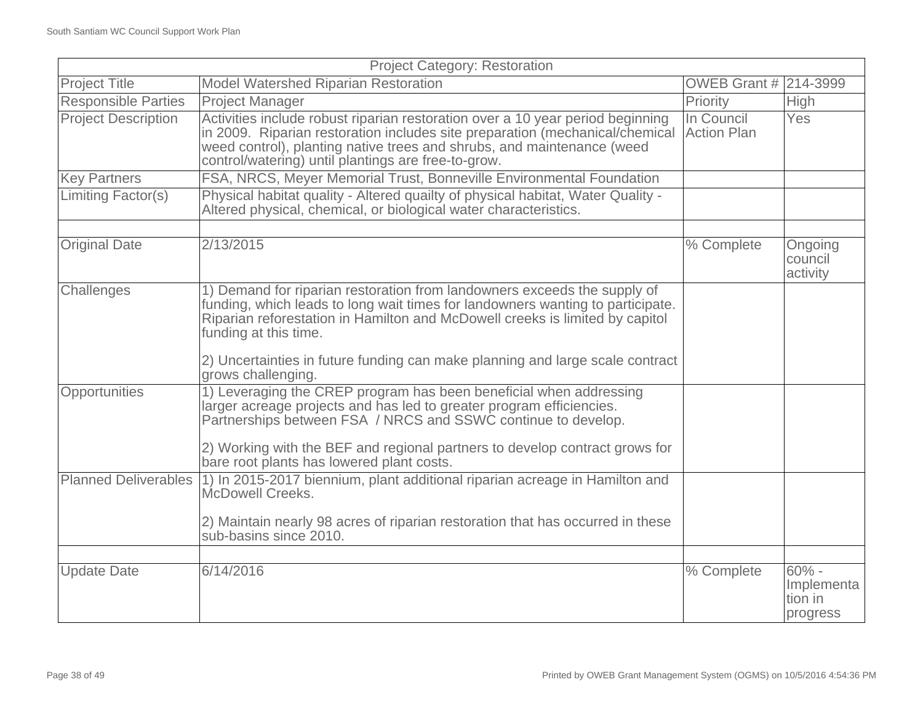| <b>Project Category: Restoration</b> |                                                                                                                                                                                                                                                                                                                                                                            |                                  |                                               |
|--------------------------------------|----------------------------------------------------------------------------------------------------------------------------------------------------------------------------------------------------------------------------------------------------------------------------------------------------------------------------------------------------------------------------|----------------------------------|-----------------------------------------------|
| <b>Project Title</b>                 | Model Watershed Riparian Restoration                                                                                                                                                                                                                                                                                                                                       | <b>OWEB Grant # 214-3999</b>     |                                               |
| <b>Responsible Parties</b>           | <b>Project Manager</b>                                                                                                                                                                                                                                                                                                                                                     | Priority                         | High                                          |
| <b>Project Description</b>           | Activities include robust riparian restoration over a 10 year period beginning<br>in 2009. Riparian restoration includes site preparation (mechanical/chemical<br>weed control), planting native trees and shrubs, and maintenance (weed<br>control/watering) until plantings are free-to-grow.                                                                            | In Council<br><b>Action Plan</b> | <b>Yes</b>                                    |
| <b>Key Partners</b>                  | FSA, NRCS, Meyer Memorial Trust, Bonneville Environmental Foundation                                                                                                                                                                                                                                                                                                       |                                  |                                               |
| Limiting Factor(s)                   | Physical habitat quality - Altered quailty of physical habitat, Water Quality -<br>Altered physical, chemical, or biological water characteristics.                                                                                                                                                                                                                        |                                  |                                               |
|                                      |                                                                                                                                                                                                                                                                                                                                                                            |                                  |                                               |
| <b>Original Date</b>                 | 2/13/2015                                                                                                                                                                                                                                                                                                                                                                  | % Complete                       | Ongoing<br>council<br>activity                |
| Challenges                           | 1) Demand for riparian restoration from landowners exceeds the supply of<br>funding, which leads to long wait times for landowners wanting to participate.<br>Riparian reforestation in Hamilton and McDowell creeks is limited by capitol<br>funding at this time.<br>2) Uncertainties in future funding can make planning and large scale contract<br>grows challenging. |                                  |                                               |
| Opportunities                        | 1) Leveraging the CREP program has been beneficial when addressing<br>larger acreage projects and has led to greater program efficiencies.<br>Partnerships between FSA / NRCS and SSWC continue to develop.<br>2) Working with the BEF and regional partners to develop contract grows for<br>bare root plants has lowered plant costs.                                    |                                  |                                               |
| <b>Planned Deliverables</b>          | 1) In 2015-2017 biennium, plant additional riparian acreage in Hamilton and<br>McDowell Creeks.<br>2) Maintain nearly 98 acres of riparian restoration that has occurred in these<br>sub-basins since 2010.                                                                                                                                                                |                                  |                                               |
| <b>Update Date</b>                   | 6/14/2016                                                                                                                                                                                                                                                                                                                                                                  | % Complete                       | $60\%$ -<br>Implementa<br>tion in<br>progress |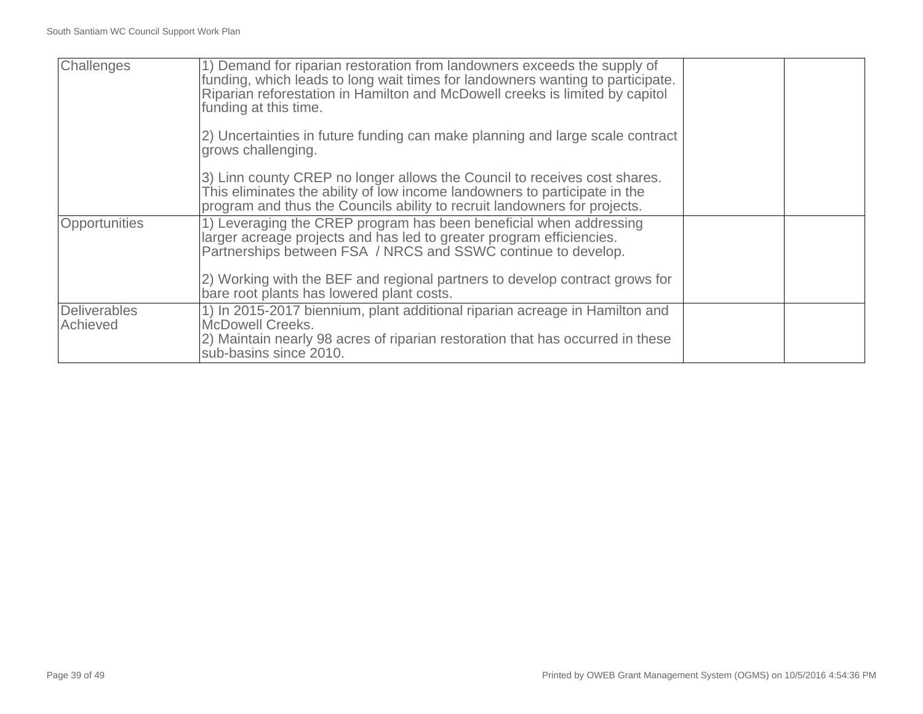| Challenges               | 1) Demand for riparian restoration from landowners exceeds the supply of<br>funding, which leads to long wait times for landowners wanting to participate.<br>Riparian reforestation in Hamilton and McDowell creeks is limited by capitol<br>funding at this time. |  |
|--------------------------|---------------------------------------------------------------------------------------------------------------------------------------------------------------------------------------------------------------------------------------------------------------------|--|
|                          | 2) Uncertainties in future funding can make planning and large scale contract<br>grows challenging.                                                                                                                                                                 |  |
|                          | 3) Linn county CREP no longer allows the Council to receives cost shares.<br>This eliminates the ability of low income landowners to participate in the<br>program and thus the Councils ability to recruit landowners for projects.                                |  |
| Opportunities            | 1) Leveraging the CREP program has been beneficial when addressing<br>larger acreage projects and has led to greater program efficiencies.<br>Partnerships between FSA / NRCS and SSWC continue to develop.                                                         |  |
|                          | 2) Working with the BEF and regional partners to develop contract grows for<br>bare root plants has lowered plant costs.                                                                                                                                            |  |
| Deliverables<br>Achieved | 1) In 2015-2017 biennium, plant additional riparian acreage in Hamilton and<br>McDowell Creeks.<br>2) Maintain nearly 98 acres of riparian restoration that has occurred in these<br>sub-basins since 2010.                                                         |  |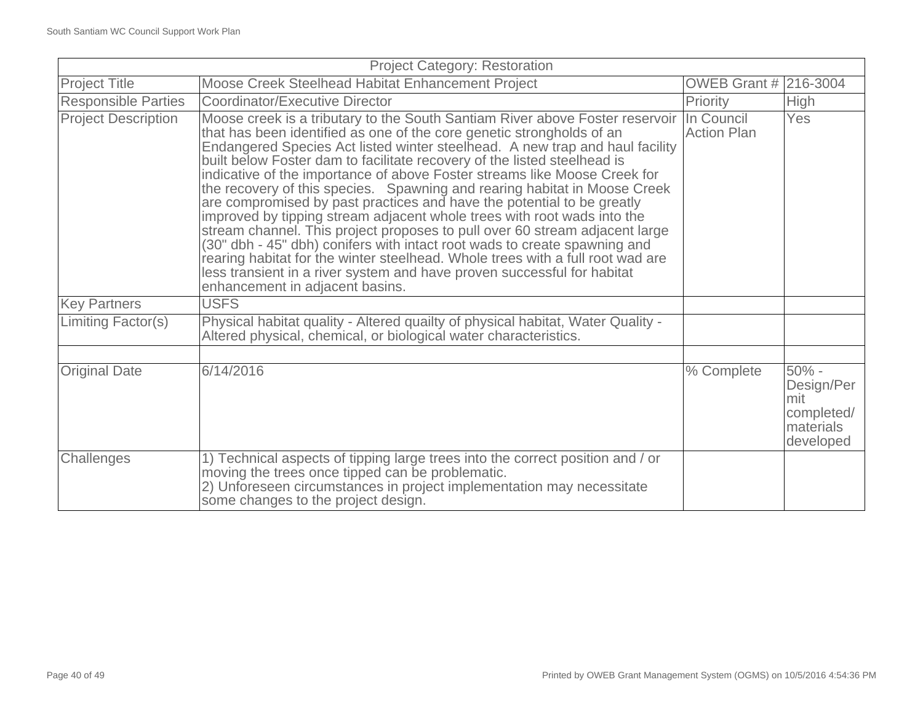| <b>Project Category: Restoration</b> |                                                                                                                                                                                                                                                                                                                                                                                                                                                                                                                                                                                                                                                                                                                                                                                                                                                                                                                                                                                                         |                       |                                                                      |
|--------------------------------------|---------------------------------------------------------------------------------------------------------------------------------------------------------------------------------------------------------------------------------------------------------------------------------------------------------------------------------------------------------------------------------------------------------------------------------------------------------------------------------------------------------------------------------------------------------------------------------------------------------------------------------------------------------------------------------------------------------------------------------------------------------------------------------------------------------------------------------------------------------------------------------------------------------------------------------------------------------------------------------------------------------|-----------------------|----------------------------------------------------------------------|
| <b>Project Title</b>                 | Moose Creek Steelhead Habitat Enhancement Project                                                                                                                                                                                                                                                                                                                                                                                                                                                                                                                                                                                                                                                                                                                                                                                                                                                                                                                                                       | OWEB Grant # 216-3004 |                                                                      |
| <b>Responsible Parties</b>           | Coordinator/Executive Director                                                                                                                                                                                                                                                                                                                                                                                                                                                                                                                                                                                                                                                                                                                                                                                                                                                                                                                                                                          | Priority              | High                                                                 |
| <b>Project Description</b>           | Moose creek is a tributary to the South Santiam River above Foster reservoir In Council<br>that has been identified as one of the core genetic strongholds of an<br>Endangered Species Act listed winter steelhead. A new trap and haul facility<br>built below Foster dam to facilitate recovery of the listed steelhead is<br>indicative of the importance of above Foster streams like Moose Creek for<br>the recovery of this species. Spawning and rearing habitat in Moose Creek<br>are compromised by past practices and have the potential to be greatly<br>improved by tipping stream adjacent whole trees with root wads into the<br>stream channel. This project proposes to pull over 60 stream adjacent large<br>(30" dbh - 45" dbh) conifers with intact root wads to create spawning and<br>rearing habitat for the winter steelhead. Whole trees with a full root wad are<br>less transient in a river system and have proven successful for habitat<br>enhancement in adjacent basins. | <b>Action Plan</b>    | Yes                                                                  |
| <b>Key Partners</b>                  | <b>USFS</b>                                                                                                                                                                                                                                                                                                                                                                                                                                                                                                                                                                                                                                                                                                                                                                                                                                                                                                                                                                                             |                       |                                                                      |
| Limiting Factor(s)                   | Physical habitat quality - Altered quailty of physical habitat, Water Quality -<br>Altered physical, chemical, or biological water characteristics.                                                                                                                                                                                                                                                                                                                                                                                                                                                                                                                                                                                                                                                                                                                                                                                                                                                     |                       |                                                                      |
|                                      |                                                                                                                                                                                                                                                                                                                                                                                                                                                                                                                                                                                                                                                                                                                                                                                                                                                                                                                                                                                                         |                       |                                                                      |
| <b>Original Date</b>                 | 6/14/2016                                                                                                                                                                                                                                                                                                                                                                                                                                                                                                                                                                                                                                                                                                                                                                                                                                                                                                                                                                                               | % Complete            | $50% -$<br>Design/Per<br>mit<br>completed/<br>materials<br>developed |
| Challenges                           | 1) Technical aspects of tipping large trees into the correct position and / or<br>moving the trees once tipped can be problematic.<br>2) Unforeseen circumstances in project implementation may necessitate<br>some changes to the project design.                                                                                                                                                                                                                                                                                                                                                                                                                                                                                                                                                                                                                                                                                                                                                      |                       |                                                                      |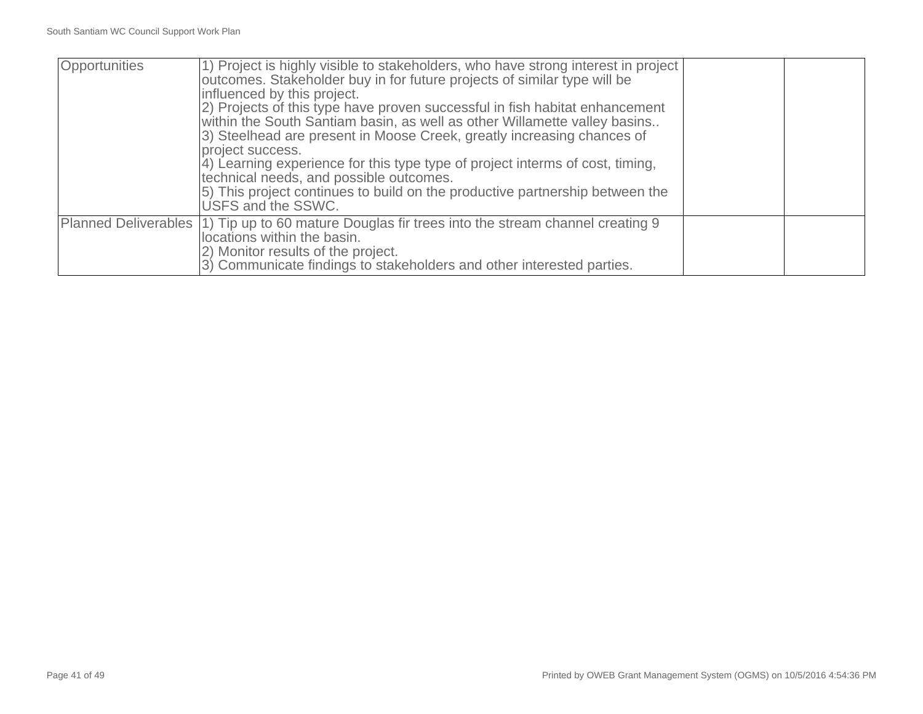| Opportunities | 1) Project is highly visible to stakeholders, who have strong interest in project<br>outcomes. Stakeholder buy in for future projects of similar type will be<br>influenced by this project.<br>2) Projects of this type have proven successful in fish habitat enhancement<br>within the South Santiam basin, as well as other Willamette valley basins<br>3) Steelhead are present in Moose Creek, greatly increasing chances of<br>project success.<br>4) Learning experience for this type type of project interms of cost, timing,<br>technical needs, and possible outcomes.<br>5) This project continues to build on the productive partnership between the<br>USFS and the SSWC. |  |
|---------------|------------------------------------------------------------------------------------------------------------------------------------------------------------------------------------------------------------------------------------------------------------------------------------------------------------------------------------------------------------------------------------------------------------------------------------------------------------------------------------------------------------------------------------------------------------------------------------------------------------------------------------------------------------------------------------------|--|
|               | Planned Deliverables (1) Tip up to 60 mature Douglas fir trees into the stream channel creating 9<br>locations within the basin.<br>2) Monitor results of the project.<br>3) Communicate findings to stakeholders and other interested parties.                                                                                                                                                                                                                                                                                                                                                                                                                                          |  |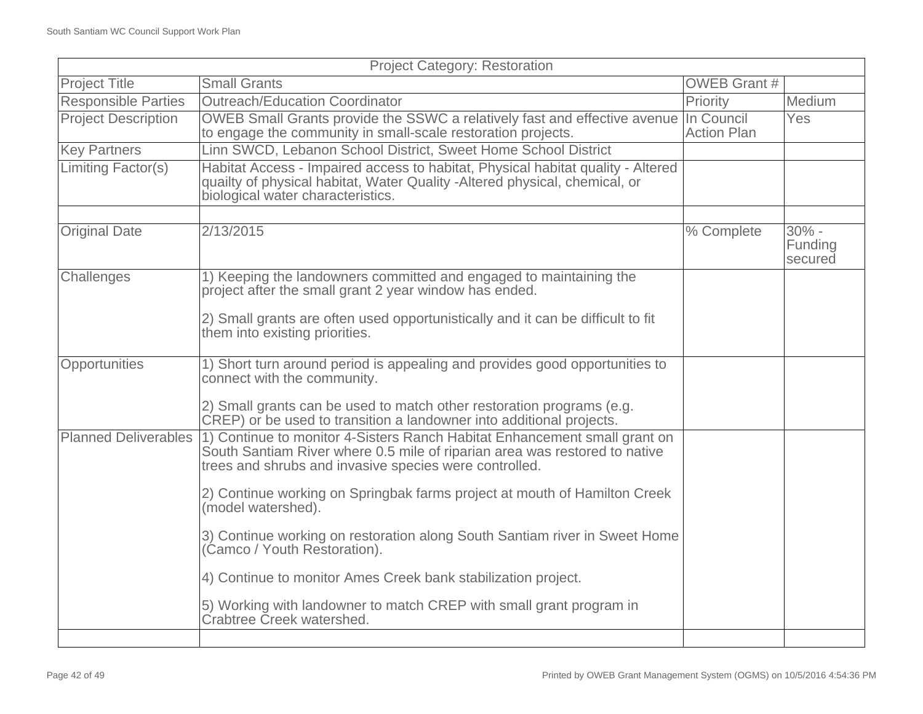| <b>Project Category: Restoration</b> |                                                                                                                                                                                                                   |                     |                               |
|--------------------------------------|-------------------------------------------------------------------------------------------------------------------------------------------------------------------------------------------------------------------|---------------------|-------------------------------|
| <b>Project Title</b>                 | <b>Small Grants</b>                                                                                                                                                                                               | <b>OWEB Grant #</b> |                               |
| <b>Responsible Parties</b>           | <b>Outreach/Education Coordinator</b>                                                                                                                                                                             | Priority            | Medium                        |
| <b>Project Description</b>           | OWEB Small Grants provide the SSWC a relatively fast and effective avenue In Council<br>to engage the community in small-scale restoration projects.                                                              | <b>Action Plan</b>  | Yes                           |
| <b>Key Partners</b>                  | Linn SWCD, Lebanon School District, Sweet Home School District                                                                                                                                                    |                     |                               |
| Limiting Factor(s)                   | Habitat Access - Impaired access to habitat, Physical habitat quality - Altered<br>quailty of physical habitat, Water Quality - Altered physical, chemical, or<br>biological water characteristics.               |                     |                               |
|                                      |                                                                                                                                                                                                                   |                     |                               |
| <b>Original Date</b>                 | 2/13/2015                                                                                                                                                                                                         | % Complete          | $30% -$<br>Funding<br>secured |
| Challenges                           | 1) Keeping the landowners committed and engaged to maintaining the<br>project after the small grant 2 year window has ended.                                                                                      |                     |                               |
|                                      | 2) Small grants are often used opportunistically and it can be difficult to fit<br>them into existing priorities.                                                                                                 |                     |                               |
| Opportunities                        | 1) Short turn around period is appealing and provides good opportunities to<br>connect with the community.                                                                                                        |                     |                               |
|                                      | 2) Small grants can be used to match other restoration programs (e.g.<br>CREP) or be used to transition a landowner into additional projects.                                                                     |                     |                               |
| <b>Planned Deliverables</b>          | 1) Continue to monitor 4-Sisters Ranch Habitat Enhancement small grant on<br>South Santiam River where 0.5 mile of riparian area was restored to native<br>trees and shrubs and invasive species were controlled. |                     |                               |
|                                      | 2) Continue working on Springbak farms project at mouth of Hamilton Creek<br>(model watershed).                                                                                                                   |                     |                               |
|                                      | 3) Continue working on restoration along South Santiam river in Sweet Home<br>(Camco / Youth Restoration).                                                                                                        |                     |                               |
|                                      | 4) Continue to monitor Ames Creek bank stabilization project.                                                                                                                                                     |                     |                               |
|                                      | 5) Working with landowner to match CREP with small grant program in<br>Crabtree Creek watershed.                                                                                                                  |                     |                               |
|                                      |                                                                                                                                                                                                                   |                     |                               |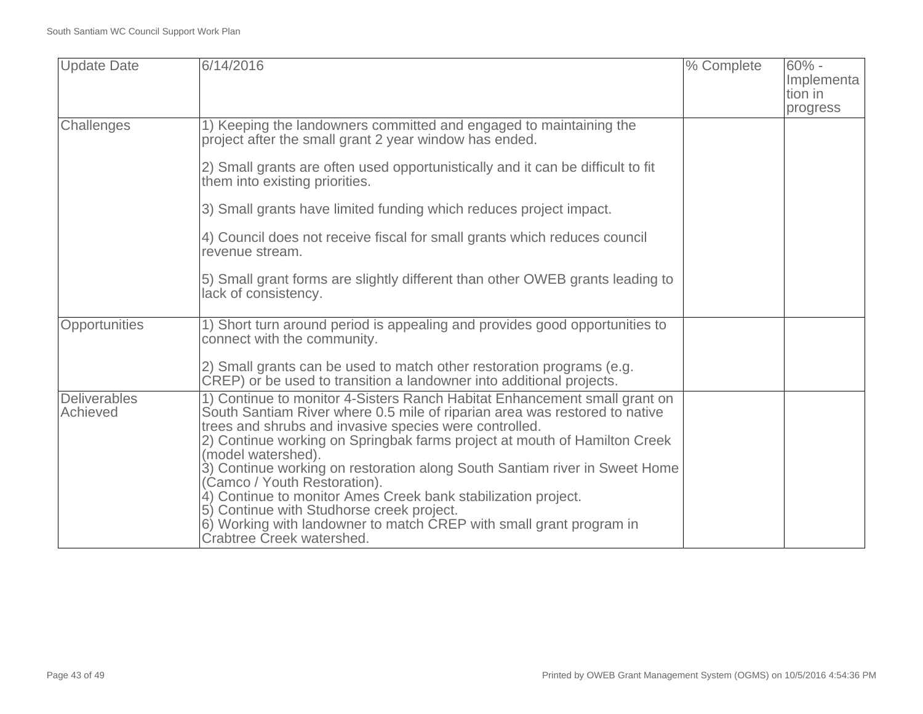| <b>Update Date</b>              | 6/14/2016                                                                                                                                                                                                                                                                                                                                                                                                                                                                                                                                                                                                                                            | % Complete | $60% -$<br>Implementa<br>tion in<br>progress |
|---------------------------------|------------------------------------------------------------------------------------------------------------------------------------------------------------------------------------------------------------------------------------------------------------------------------------------------------------------------------------------------------------------------------------------------------------------------------------------------------------------------------------------------------------------------------------------------------------------------------------------------------------------------------------------------------|------------|----------------------------------------------|
| Challenges                      | 1) Keeping the landowners committed and engaged to maintaining the<br>project after the small grant 2 year window has ended.                                                                                                                                                                                                                                                                                                                                                                                                                                                                                                                         |            |                                              |
|                                 | 2) Small grants are often used opportunistically and it can be difficult to fit<br>them into existing priorities.                                                                                                                                                                                                                                                                                                                                                                                                                                                                                                                                    |            |                                              |
|                                 | 3) Small grants have limited funding which reduces project impact.                                                                                                                                                                                                                                                                                                                                                                                                                                                                                                                                                                                   |            |                                              |
|                                 | 4) Council does not receive fiscal for small grants which reduces council<br>revenue stream.                                                                                                                                                                                                                                                                                                                                                                                                                                                                                                                                                         |            |                                              |
|                                 | 5) Small grant forms are slightly different than other OWEB grants leading to<br>lack of consistency.                                                                                                                                                                                                                                                                                                                                                                                                                                                                                                                                                |            |                                              |
| Opportunities                   | 1) Short turn around period is appealing and provides good opportunities to<br>connect with the community.                                                                                                                                                                                                                                                                                                                                                                                                                                                                                                                                           |            |                                              |
|                                 | 2) Small grants can be used to match other restoration programs (e.g.<br>CREP) or be used to transition a landowner into additional projects.                                                                                                                                                                                                                                                                                                                                                                                                                                                                                                        |            |                                              |
| <b>Deliverables</b><br>Achieved | 1) Continue to monitor 4-Sisters Ranch Habitat Enhancement small grant on<br>South Santiam River where 0.5 mile of riparian area was restored to native<br>trees and shrubs and invasive species were controlled.<br>2) Continue working on Springbak farms project at mouth of Hamilton Creek<br>(model watershed).<br>3) Continue working on restoration along South Santiam river in Sweet Home<br>(Camco / Youth Restoration).<br>4) Continue to monitor Ames Creek bank stabilization project.<br>5) Continue with Studhorse creek project.<br>6) Working with landowner to match CREP with small grant program in<br>Crabtree Creek watershed. |            |                                              |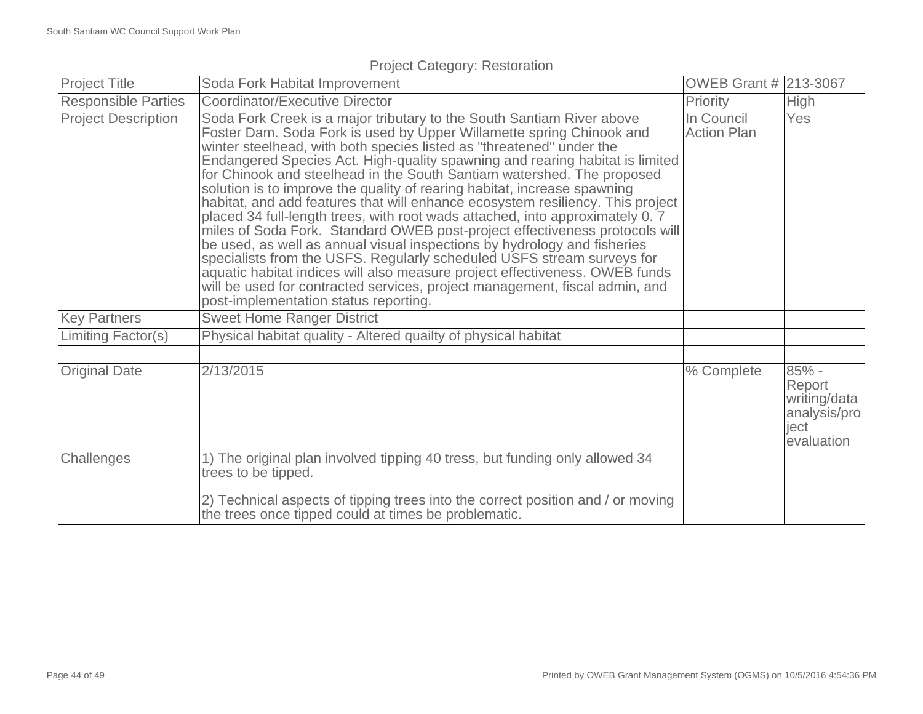| <b>Project Category: Restoration</b> |                                                                                                                                                                                                                                                                                                                                                                                                                                                                                                                                                                                                                                                                                                                                                                                                                                                                                                                                                                                                                                                                           |                                  |                                                                         |
|--------------------------------------|---------------------------------------------------------------------------------------------------------------------------------------------------------------------------------------------------------------------------------------------------------------------------------------------------------------------------------------------------------------------------------------------------------------------------------------------------------------------------------------------------------------------------------------------------------------------------------------------------------------------------------------------------------------------------------------------------------------------------------------------------------------------------------------------------------------------------------------------------------------------------------------------------------------------------------------------------------------------------------------------------------------------------------------------------------------------------|----------------------------------|-------------------------------------------------------------------------|
| <b>Project Title</b>                 | Soda Fork Habitat Improvement                                                                                                                                                                                                                                                                                                                                                                                                                                                                                                                                                                                                                                                                                                                                                                                                                                                                                                                                                                                                                                             | <b>OWEB Grant #</b>              | 213-3067                                                                |
| <b>Responsible Parties</b>           | Coordinator/Executive Director                                                                                                                                                                                                                                                                                                                                                                                                                                                                                                                                                                                                                                                                                                                                                                                                                                                                                                                                                                                                                                            | Priority                         | High                                                                    |
| <b>Project Description</b>           | Soda Fork Creek is a major tributary to the South Santiam River above<br>Foster Dam. Soda Fork is used by Upper Willamette spring Chinook and<br>winter steelhead, with both species listed as "threatened" under the<br>Endangered Species Act. High-quality spawning and rearing habitat is limited<br>for Chinook and steelhead in the South Santiam watershed. The proposed<br>solution is to improve the quality of rearing habitat, increase spawning<br>habitat, and add features that will enhance ecosystem resiliency. This project<br>placed 34 full-length trees, with root wads attached, into approximately 0.7<br>miles of Soda Fork. Standard OWEB post-project effectiveness protocols will<br>be used, as well as annual visual inspections by hydrology and fisheries<br>specialists from the USFS. Regularly scheduled USFS stream surveys for<br>aquatic habitat indices will also measure project effectiveness. OWEB funds<br>will be used for contracted services, project management, fiscal admin, and<br>post-implementation status reporting. | In Council<br><b>Action Plan</b> | <b>Yes</b>                                                              |
| <b>Key Partners</b>                  | <b>Sweet Home Ranger District</b>                                                                                                                                                                                                                                                                                                                                                                                                                                                                                                                                                                                                                                                                                                                                                                                                                                                                                                                                                                                                                                         |                                  |                                                                         |
| <b>Limiting Factor(s)</b>            | Physical habitat quality - Altered quailty of physical habitat                                                                                                                                                                                                                                                                                                                                                                                                                                                                                                                                                                                                                                                                                                                                                                                                                                                                                                                                                                                                            |                                  |                                                                         |
|                                      |                                                                                                                                                                                                                                                                                                                                                                                                                                                                                                                                                                                                                                                                                                                                                                                                                                                                                                                                                                                                                                                                           |                                  |                                                                         |
| <b>Original Date</b>                 | 2/13/2015                                                                                                                                                                                                                                                                                                                                                                                                                                                                                                                                                                                                                                                                                                                                                                                                                                                                                                                                                                                                                                                                 | % Complete                       | $85% -$<br>Report<br>writing/data<br>analysis/pro<br>ject<br>evaluation |
| Challenges                           | 1) The original plan involved tipping 40 tress, but funding only allowed 34<br>trees to be tipped.<br>2) Technical aspects of tipping trees into the correct position and / or moving                                                                                                                                                                                                                                                                                                                                                                                                                                                                                                                                                                                                                                                                                                                                                                                                                                                                                     |                                  |                                                                         |
|                                      | the trees once tipped could at times be problematic.                                                                                                                                                                                                                                                                                                                                                                                                                                                                                                                                                                                                                                                                                                                                                                                                                                                                                                                                                                                                                      |                                  |                                                                         |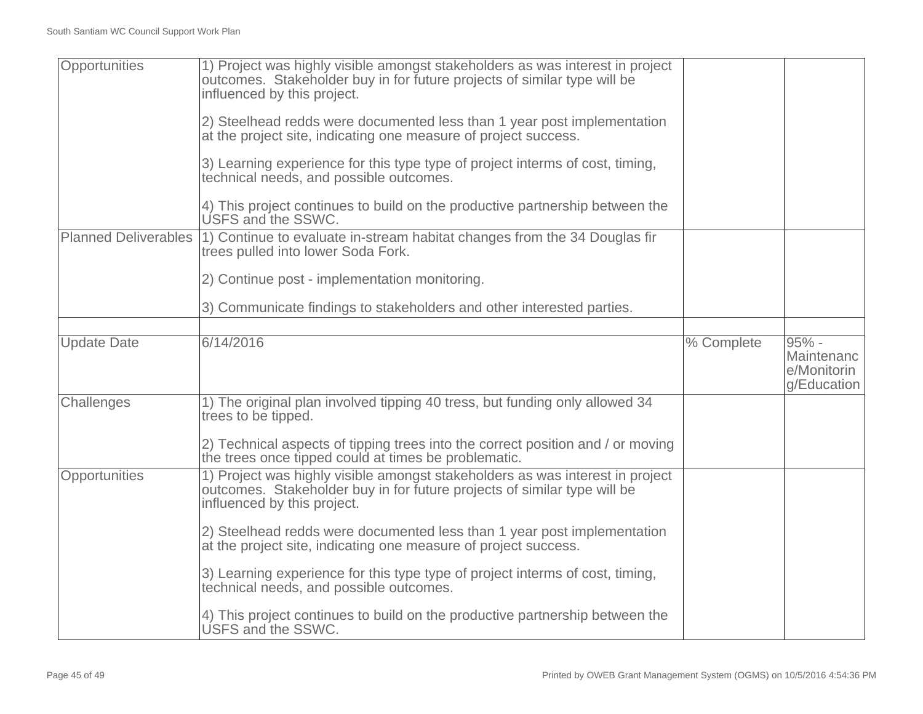| Opportunities               | 1) Project was highly visible amongst stakeholders as was interest in project<br>outcomes. Stakeholder buy in for future projects of similar type will be<br>influenced by this project. |            |                                                   |
|-----------------------------|------------------------------------------------------------------------------------------------------------------------------------------------------------------------------------------|------------|---------------------------------------------------|
|                             | 2) Steelhead redds were documented less than 1 year post implementation<br>at the project site, indicating one measure of project success.                                               |            |                                                   |
|                             | 3) Learning experience for this type type of project interms of cost, timing,<br>technical needs, and possible outcomes.                                                                 |            |                                                   |
|                             | 4) This project continues to build on the productive partnership between the<br>USFS and the SSWC.                                                                                       |            |                                                   |
| <b>Planned Deliverables</b> | 1) Continue to evaluate in-stream habitat changes from the 34 Douglas fir<br>trees pulled into lower Soda Fork.                                                                          |            |                                                   |
|                             | 2) Continue post - implementation monitoring.                                                                                                                                            |            |                                                   |
|                             | 3) Communicate findings to stakeholders and other interested parties.                                                                                                                    |            |                                                   |
|                             |                                                                                                                                                                                          |            |                                                   |
| <b>Update Date</b>          | 6/14/2016                                                                                                                                                                                | % Complete | 95% -<br>Maintenanc<br>e/Monitorin<br>g/Education |
| Challenges                  | 1) The original plan involved tipping 40 tress, but funding only allowed 34<br>trees to be tipped.                                                                                       |            |                                                   |
|                             | 2) Technical aspects of tipping trees into the correct position and / or moving<br>the trees once tipped could at times be problematic.                                                  |            |                                                   |
| Opportunities               | 1) Project was highly visible amongst stakeholders as was interest in project<br>outcomes. Stakeholder buy in for future projects of similar type will be<br>influenced by this project. |            |                                                   |
|                             | 2) Steelhead redds were documented less than 1 year post implementation<br>at the project site, indicating one measure of project success.                                               |            |                                                   |
|                             | 3) Learning experience for this type type of project interms of cost, timing,<br>technical needs, and possible outcomes.                                                                 |            |                                                   |
|                             | 4) This project continues to build on the productive partnership between the<br>USFS and the SSWC.                                                                                       |            |                                                   |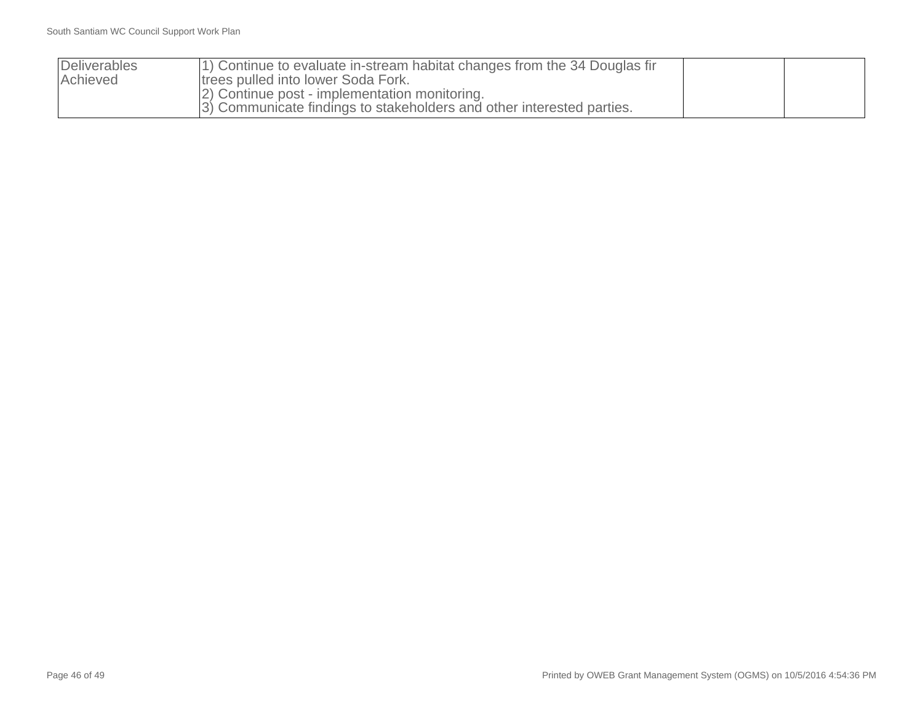| Deliverables<br>Achieved | 1) Continue to evaluate in-stream habitat changes from the 34 Douglas fir<br>trees pulled into lower Soda Fork.         |  |
|--------------------------|-------------------------------------------------------------------------------------------------------------------------|--|
|                          | [2] Continue post - implementation monitoring.<br>3) Communicate findings to stakeholders and other interested parties. |  |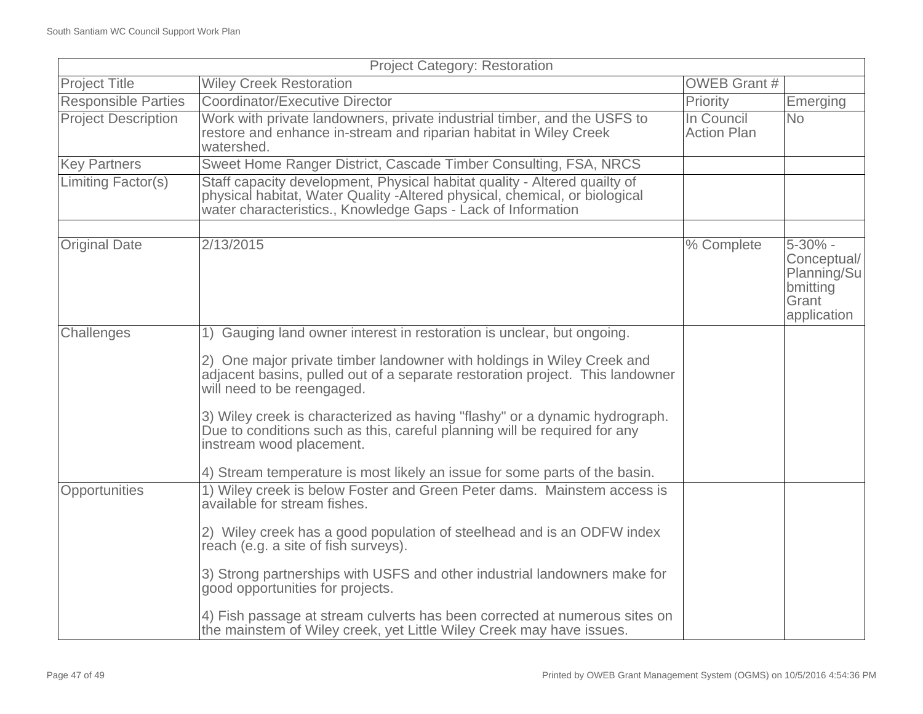| <b>Project Category: Restoration</b> |                                                                                                                                                                                                                          |                                  |                                                                           |
|--------------------------------------|--------------------------------------------------------------------------------------------------------------------------------------------------------------------------------------------------------------------------|----------------------------------|---------------------------------------------------------------------------|
| <b>Project Title</b>                 | <b>Wiley Creek Restoration</b>                                                                                                                                                                                           | <b>OWEB Grant #</b>              |                                                                           |
| <b>Responsible Parties</b>           | Coordinator/Executive Director                                                                                                                                                                                           | Priority                         | Emerging                                                                  |
| <b>Project Description</b>           | Work with private landowners, private industrial timber, and the USFS to<br>restore and enhance in-stream and riparian habitat in Wiley Creek<br>watershed.                                                              | In Council<br><b>Action Plan</b> | <b>No</b>                                                                 |
| <b>Key Partners</b>                  | Sweet Home Ranger District, Cascade Timber Consulting, FSA, NRCS                                                                                                                                                         |                                  |                                                                           |
| Limiting Factor(s)                   | Staff capacity development, Physical habitat quality - Altered quailty of<br>physical habitat, Water Quality - Altered physical, chemical, or biological<br>water characteristics., Knowledge Gaps - Lack of Information |                                  |                                                                           |
|                                      |                                                                                                                                                                                                                          |                                  |                                                                           |
| <b>Original Date</b>                 | 2/13/2015                                                                                                                                                                                                                | % Complete                       | 5-30% -<br>Conceptual/<br>Planning/Su<br>bmitting<br>Grant<br>application |
| Challenges                           | 1) Gauging land owner interest in restoration is unclear, but ongoing.                                                                                                                                                   |                                  |                                                                           |
|                                      | 2) One major private timber landowner with holdings in Wiley Creek and<br>adjacent basins, pulled out of a separate restoration project. This landowner<br>will need to be reengaged.                                    |                                  |                                                                           |
|                                      | 3) Wiley creek is characterized as having "flashy" or a dynamic hydrograph.<br>Due to conditions such as this, careful planning will be required for any<br>instream wood placement.                                     |                                  |                                                                           |
|                                      | 4) Stream temperature is most likely an issue for some parts of the basin.                                                                                                                                               |                                  |                                                                           |
| Opportunities                        | 1) Wiley creek is below Foster and Green Peter dams. Mainstem access is<br>available for stream fishes.                                                                                                                  |                                  |                                                                           |
|                                      | 2) Wiley creek has a good population of steelhead and is an ODFW index<br>reach (e.g. a site of fish surveys).                                                                                                           |                                  |                                                                           |
|                                      | 3) Strong partnerships with USFS and other industrial landowners make for<br>good opportunities for projects.                                                                                                            |                                  |                                                                           |
|                                      | 4) Fish passage at stream culverts has been corrected at numerous sites on<br>the mainstem of Wiley creek, yet Little Wiley Creek may have issues.                                                                       |                                  |                                                                           |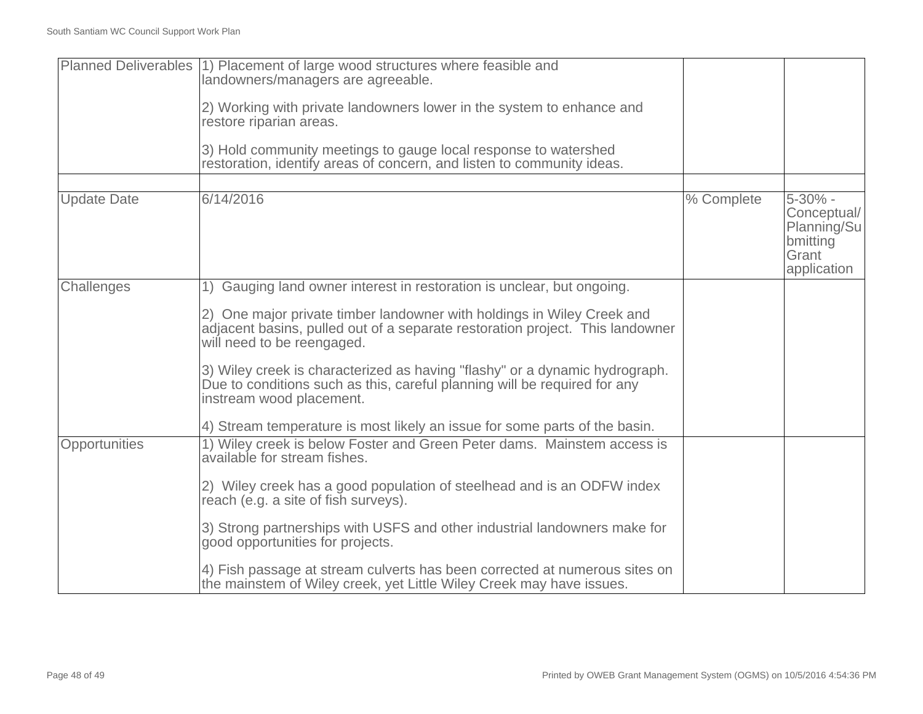|                    | Planned Deliverables (1) Placement of large wood structures where feasible and<br>landowners/managers are agreeable.                                                                  |            |                                                                           |
|--------------------|---------------------------------------------------------------------------------------------------------------------------------------------------------------------------------------|------------|---------------------------------------------------------------------------|
|                    | 2) Working with private landowners lower in the system to enhance and<br>restore riparian areas.                                                                                      |            |                                                                           |
|                    | 3) Hold community meetings to gauge local response to watershed<br>restoration, identify areas of concern, and listen to community ideas.                                             |            |                                                                           |
|                    |                                                                                                                                                                                       |            |                                                                           |
| <b>Update Date</b> | 6/14/2016                                                                                                                                                                             | % Complete | 5-30% -<br>Conceptual/<br>Planning/Su<br>bmitting<br>Grant<br>application |
| Challenges         | 1) Gauging land owner interest in restoration is unclear, but ongoing.                                                                                                                |            |                                                                           |
|                    | 2) One major private timber landowner with holdings in Wiley Creek and<br>adjacent basins, pulled out of a separate restoration project. This landowner<br>will need to be reengaged. |            |                                                                           |
|                    | 3) Wiley creek is characterized as having "flashy" or a dynamic hydrograph.<br>Due to conditions such as this, careful planning will be required for any<br>instream wood placement.  |            |                                                                           |
|                    | 4) Stream temperature is most likely an issue for some parts of the basin.                                                                                                            |            |                                                                           |
| Opportunities      | 1) Wiley creek is below Foster and Green Peter dams. Mainstem access is<br>available for stream fishes.                                                                               |            |                                                                           |
|                    | 2) Wiley creek has a good population of steelhead and is an ODFW index<br>reach (e.g. a site of fish surveys).                                                                        |            |                                                                           |
|                    | 3) Strong partnerships with USFS and other industrial landowners make for<br>good opportunities for projects.                                                                         |            |                                                                           |
|                    | 4) Fish passage at stream culverts has been corrected at numerous sites on<br>the mainstem of Wiley creek, yet Little Wiley Creek may have issues.                                    |            |                                                                           |